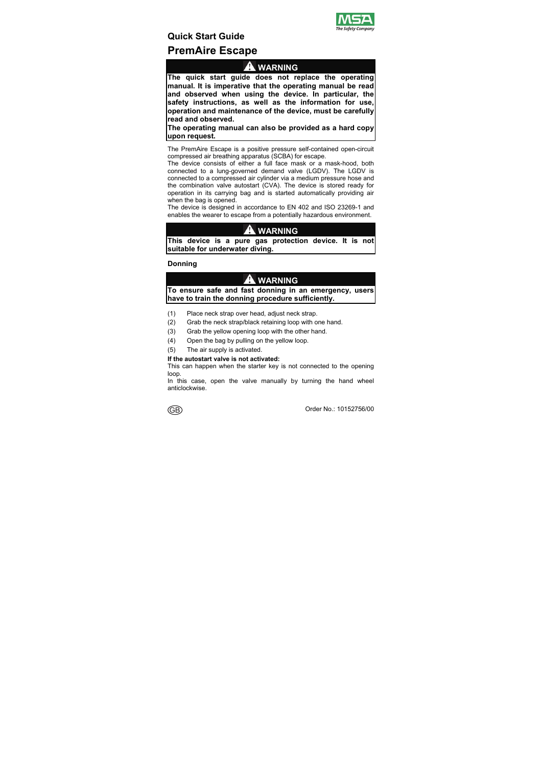

# **Quick Start Guide PremAire Escape**

### **WARNING**

**The quick start guide does not replace the operating manual. It is imperative that the operating manual be read and observed when using the device. In particular, the safety instructions, as well as the information for use, operation and maintenance of the device, must be carefully read and observed.** 

**The operating manual can also be provided as a hard copy upon request.** 

The PremAire Escape is a positive pressure self-contained open-circuit compressed air breathing apparatus (SCBA) for escape.

The device consists of either a full face mask or a mask-hood, both connected to a lung-governed demand valve (LGDV). The LGDV is connected to a compressed air cylinder via a medium pressure hose and the combination valve autostart (CVA). The device is stored ready for operation in its carrying bag and is started automatically providing air when the bag is opened.

The device is designed in accordance to EN 402 and ISO 23269-1 and enables the wearer to escape from a potentially hazardous environment.

# **WARNING**

**This device is a pure gas protection device. It is not suitable for underwater diving.** 

### **Donning**

# **WARNING**

**To ensure safe and fast donning in an emergency, users have to train the donning procedure sufficiently.** 

- (1) Place neck strap over head, adjust neck strap.
- (2) Grab the neck strap/black retaining loop with one hand.
- (3) Grab the yellow opening loop with the other hand.
- (4) Open the bag by pulling on the yellow loop.
- (5) The air supply is activated.

#### **If the autostart valve is not activated:**

This can happen when the starter key is not connected to the opening loop.

In this case, open the valve manually by turning the hand wheel anticlockwise.

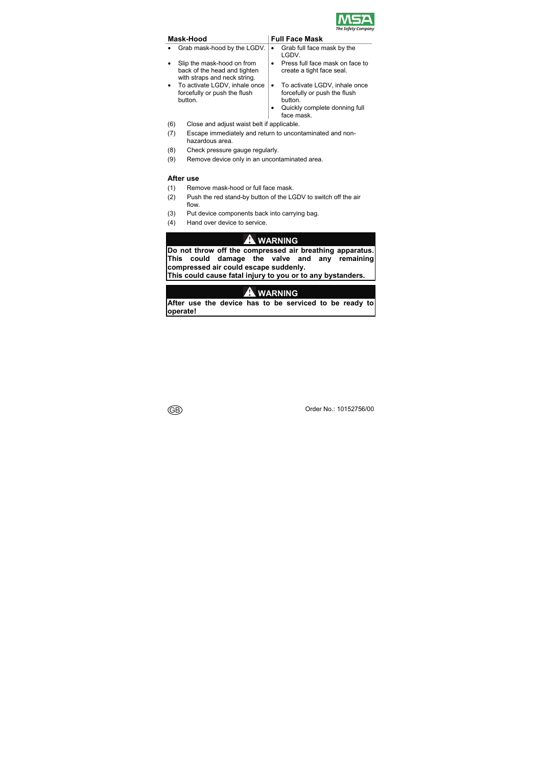

| Mask-Hood |                                                                                            |  | <b>Full Face Mask</b>                                                                                                   |  |  |  |
|-----------|--------------------------------------------------------------------------------------------|--|-------------------------------------------------------------------------------------------------------------------------|--|--|--|
|           | Grab mask-hood by the LGDV.                                                                |  | Grab full face mask by the<br>LGDV.                                                                                     |  |  |  |
|           | Slip the mask-hood on from<br>back of the head and tighten<br>with straps and neck string. |  | Press full face mask on face to<br>create a tight face seal.                                                            |  |  |  |
|           | To activate LGDV, inhale once<br>forcefully or push the flush<br>button.                   |  | To activate LGDV, inhale once<br>forcefully or push the flush<br>button.<br>Quickly complete donning full<br>face mask. |  |  |  |
|           |                                                                                            |  |                                                                                                                         |  |  |  |

- (6) Close and adjust waist belt if applicable.
- (7) Escape immediately and return to uncontaminated and nonhazardous area.
- (8) Check pressure gauge regularly.
- (9) Remove device only in an uncontaminated area.

### **After use**

- (1) Remove mask-hood or full face mask.
- (2) Push the red stand-by button of the LGDV to switch off the air flow.
- (3) Put device components back into carrying bag.
- (4) Hand over device to service.

# **WARNING**

**Do not throw off the compressed air breathing apparatus. This could damage the valve and any remaining compressed air could escape suddenly.** 

**This could cause fatal injury to you or to any bystanders.** 

# **WARNING**

**After use the device has to be serviced to be ready to operate!** 

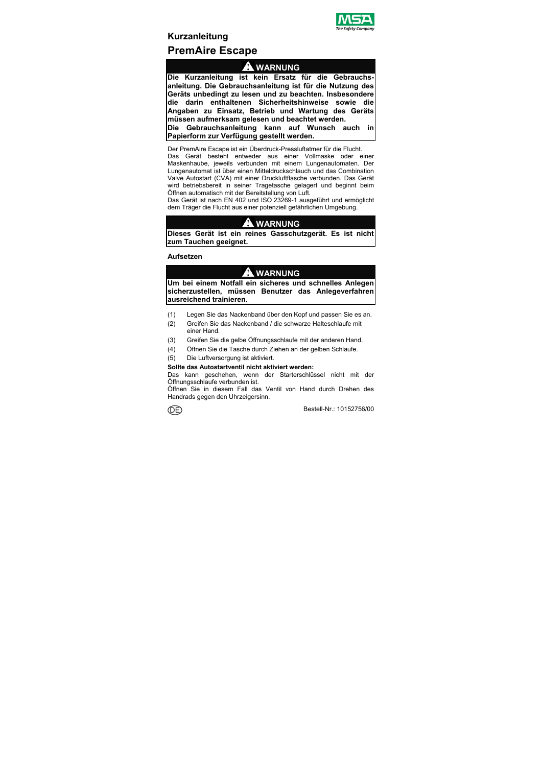

# **Kurzanleitung PremAire Escape**

# **WARNUNG**

**Die Kurzanleitung ist kein Ersatz für die Gebrauchsanleitung. Die Gebrauchsanleitung ist für die Nutzung des Geräts unbedingt zu lesen und zu beachten. Insbesondere**  die darin enthaltenen Sicherheitshinweise sowie **Angaben zu Einsatz, Betrieb und Wartung des Geräts müssen aufmerksam gelesen und beachtet werden.** 

**Die Gebrauchsanleitung kann auf Wunsch auch in Papierform zur Verfügung gestellt werden.** 

Der PremAire Escape ist ein Überdruck-Pressluftatmer für die Flucht. Das Gerät besteht entweder aus einer Vollmaske oder einer

Maskenhaube, jeweils verbunden mit einem Lungenautomaten. Der Lungenautomat ist über einen Mitteldruckschlauch und das Combination Valve Autostart (CVA) mit einer Druckluftflasche verbunden. Das Gerät wird betriebsbereit in seiner Tragetasche gelagert und beginnt beim Öffnen automatisch mit der Bereitstellung von Luft.

Das Gerät ist nach EN 402 und ISO 23269-1 ausgeführt und ermöglicht dem Träger die Flucht aus einer potenziell gefährlichen Umgebung.

# **WARNUNG**

**Dieses Gerät ist ein reines Gasschutzgerät. Es ist nicht zum Tauchen geeignet.** 

**Aufsetzen** 

# **A** WARNUNG

**Um bei einem Notfall ein sicheres und schnelles Anlegen sicherzustellen, müssen Benutzer das Anlegeverfahren ausreichend trainieren.** 

- (1) Legen Sie das Nackenband über den Kopf und passen Sie es an.
- (2) Greifen Sie das Nackenband / die schwarze Halteschlaufe mit einer Hand.
- (3) Greifen Sie die gelbe Öffnungsschlaufe mit der anderen Hand.
- (4) Öffnen Sie die Tasche durch Ziehen an der gelben Schlaufe.
- (5) Die Luftversorgung ist aktiviert.

#### **Sollte das Autostartventil nicht aktiviert werden:**

Das kann geschehen, wenn der Starterschlüssel nicht mit der Öffnungsschlaufe verbunden ist.

Öffnen Sie in diesem Fall das Ventil von Hand durch Drehen des Handrads gegen den Uhrzeigersinn.

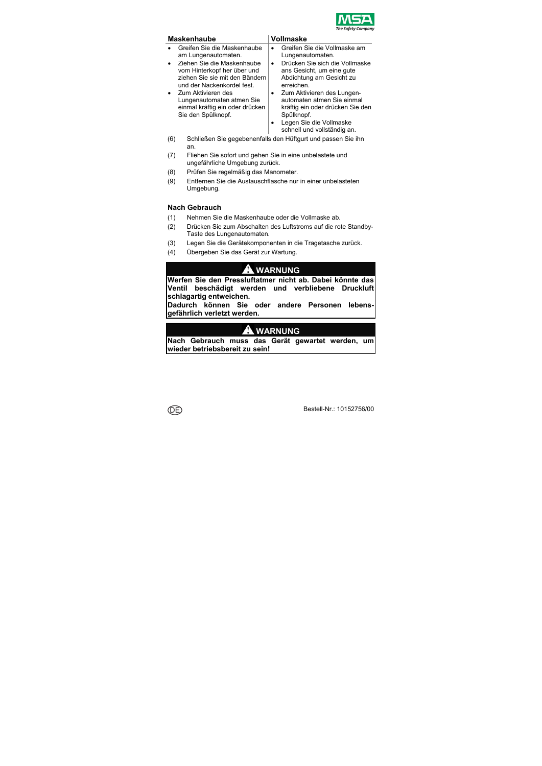

### **Maskenhaube Vollmaske**

- Greifen Sie die Maskenhaube am Lungenautomaten.
- Ziehen Sie die Maskenhaube vom Hinterkopf her über und ziehen Sie sie mit den Bändern und der Nackenkordel fest.
- Zum Aktivieren des Lungenautomaten atmen Sie einmal kräftig ein oder drücken Sie den Spülknopf.

- Greifen Sie die Vollmaske am Lungenautomaten.
- Drücken Sie sich die Vollmaske ans Gesicht, um eine gute Abdichtung am Gesicht zu erreichen.
- Zum Aktivieren des Lungenautomaten atmen Sie einmal kräftig ein oder drücken Sie den Spülknopf.
- Legen Sie die Vollmaske schnell und vollständig an.
- (6) Schließen Sie gegebenenfalls den Hüftgurt und passen Sie ihn an.
- (7) Fliehen Sie sofort und gehen Sie in eine unbelastete und ungefährliche Umgebung zurück.
- (8) Prüfen Sie regelmäßig das Manometer.
- (9) Entfernen Sie die Austauschflasche nur in einer unbelasteten Umgebung.

### **Nach Gebrauch**

- (1) Nehmen Sie die Maskenhaube oder die Vollmaske ab.
- (2) Drücken Sie zum Abschalten des Luftstroms auf die rote Standby-Taste des Lungenautomaten.
- (3) Legen Sie die Gerätekomponenten in die Tragetasche zurück.
- (4) Übergeben Sie das Gerät zur Wartung.

### **WARNUNG**

**Werfen Sie den Pressluftatmer nicht ab. Dabei könnte das Ventil beschädigt werden und verbliebene Druckluft schlagartig entweichen.** 

**Dadurch können Sie oder andere Personen lebensgefährlich verletzt werden.** 

# **WARNUNG**

**Nach Gebrauch muss das Gerät gewartet werden, um wieder betriebsbereit zu sein!** 

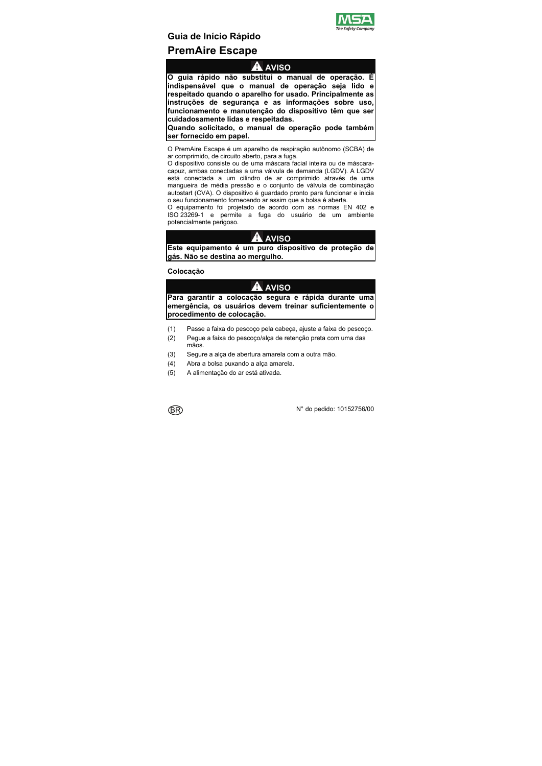

# **Guia de Início Rápido PremAire Escape**

### **AVISO**

**O guia rápido não substitui o manual de operação. É indispensável que o manual de operação seja lido e respeitado quando o aparelho for usado. Principalmente as instruções de segurança e as informações sobre uso, funcionamento e manutenção do dispositivo têm que ser cuidadosamente lidas e respeitadas.** 

**Quando solicitado, o manual de operação pode também ser fornecido em papel.** 

O PremAire Escape é um aparelho de respiração autônomo (SCBA) de ar comprimido, de circuito aberto, para a fuga.

O dispositivo consiste ou de uma máscara facial inteira ou de máscaracapuz, ambas conectadas a uma válvula de demanda (LGDV). A LGDV está conectada a um cilindro de ar comprimido através de uma mangueira de média pressão e o conjunto de válvula de combinação autostart (CVA). O dispositivo é guardado pronto para funcionar e inicia o seu funcionamento fornecendo ar assim que a bolsa é aberta.

O equipamento foi projetado de acordo com as normas EN 402 e ISO 23269-1 e permite a fuga do usuário de um ambiente potencialmente perigoso.

### **AVISO**

**Este equipamento é um puro dispositivo de proteção de gás. Não se destina ao mergulho.** 

### **Colocação**

# **AVISO**

**Para garantir a colocação segura e rápida durante uma emergência, os usuários devem treinar suficientemente o procedimento de colocação.** 

- (1) Passe a faixa do pescoço pela cabeça, ajuste a faixa do pescoço.
- (2) Pegue a faixa do pescoço/alça de retenção preta com uma das mãos.
- (3) Segure a alça de abertura amarela com a outra mão.
- (4) Abra a bolsa puxando a alça amarela.
- (5) A alimentação do ar está ativada.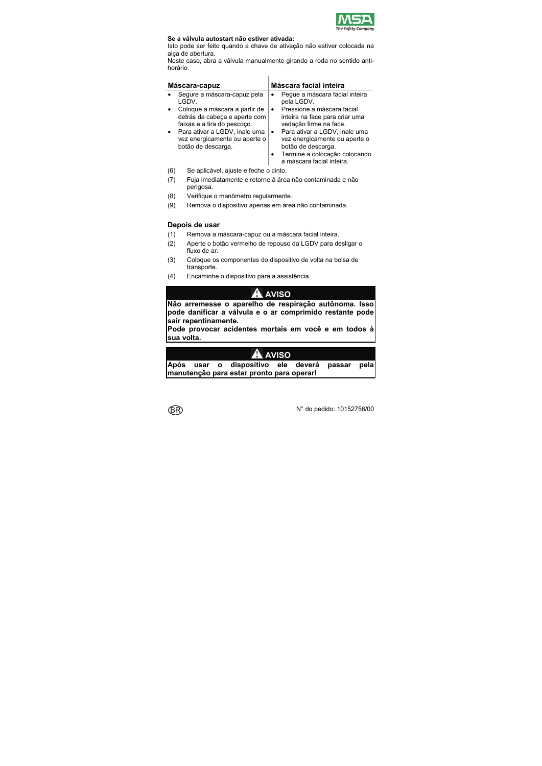

#### **Se a válvula autostart não estiver ativada:**

Isto pode ser feito quando a chave de ativação não estiver colocada na alça de abertura.

Neste caso, abra a válvula manualmente girando a roda no sentido antihorário.

| Máscara-capuz                                                                                                                                                                         | Máscara facial inteira                                                                                                                                                                                                                            |  |  |
|---------------------------------------------------------------------------------------------------------------------------------------------------------------------------------------|---------------------------------------------------------------------------------------------------------------------------------------------------------------------------------------------------------------------------------------------------|--|--|
| Segure a máscara-capuz pela<br>LGDV.                                                                                                                                                  | Peque a máscara facial inteira<br>pela LGDV.                                                                                                                                                                                                      |  |  |
| Coloque a máscara a partir de<br>detrás da cabeça e aperte com<br>faixas e a tira do pescoco.<br>Para ativar a LGDV, inale uma<br>vez energicamente ou aperte o<br>botão de descarga. | Pressione a máscara facial<br>inteira na face para criar uma<br>vedação firme na face.<br>Para ativar a LGDV, inale uma<br>٠<br>vez energicamente ou aperte o<br>botão de descarga.<br>Termine a colocação colocando<br>a máscara facial inteira. |  |  |
| Se aplicável, ajuste e feche o cinto.<br>(6)                                                                                                                                          |                                                                                                                                                                                                                                                   |  |  |

- (7) Fuja imediatamente e retorne à área não contaminada e não perigosa.
- (8) Verifique o manômetro regularmente.
- (9) Remova o dispositivo apenas em área não contaminada.

#### **Depois de usar**

- (1) Remova a máscara-capuz ou a máscara facial inteira.
- (2) Aperte o botão vermelho de repouso da LGDV para desligar o fluxo de ar
- (3) Coloque os componentes do dispositivo de volta na bolsa de transporte.
- (4) Encaminhe o dispositivo para a assistência.

# **AVISO**

**Não arremesse o aparelho de respiração autônoma. Isso pode danificar a válvula e o ar comprimido restante pode sair repentinamente.** 

**Pode provocar acidentes mortais em você e em todos à sua volta.** 

| <b>A</b> AVISO                             |  |  |                                                |  |  |  |  |
|--------------------------------------------|--|--|------------------------------------------------|--|--|--|--|
|                                            |  |  | Após usar o dispositivo ele deverá passar pela |  |  |  |  |
| Imanutenção para estar pronto para operar! |  |  |                                                |  |  |  |  |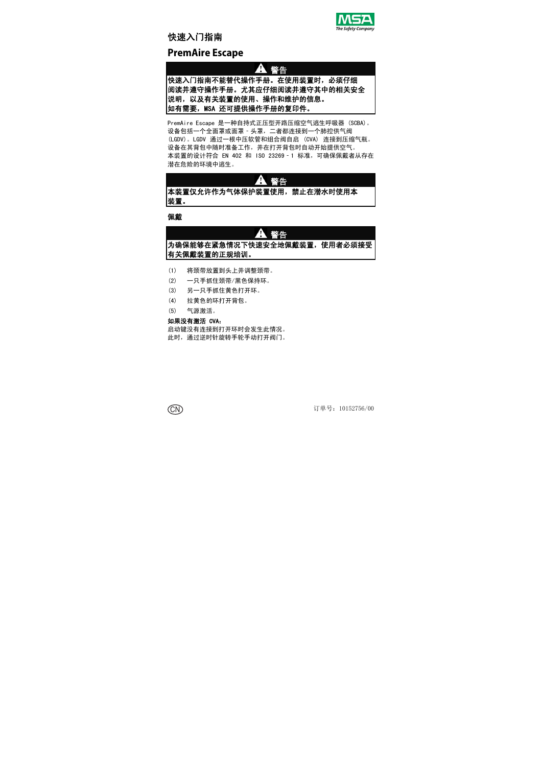### 快速入门指南



### **PremAire Escape**

### 警告

### 快速入门指南不能替代操作手册。在使用装置时,必须仔细 阅读并遵守操作手册。尤其应仔细阅读并遵守其中的相关安全 说明,以及有关装置的使用、操作和维护的信息。 如有需要,MSA 还可提供操作手册的复印件。

PremAire Escape 是一种自持式正压型开路压缩空气逃生呼吸器 (SCBA)。 设备包括一个全面罩或面罩‐头罩,二者都连接到一个肺控供气阀 (LGDV)。LGDV 通过一根中压软管和组合阀自启 (CVA) 连接到压缩气瓶。 设备在其背包中随时准备工作,并在打开背包时自动开始提供空气。 本装置的设计符合 EN 402 和 ISO 23269‐1 标准,可确保佩戴者从存在 潜在危险的环境中逃生。

### 警告

### 本装置仅允许作为气体保护装置使用,禁止在潜水时使用本 装置。

#### 佩戴

#### А 警告

### 为确保能够在紧急情况下快速安全地佩戴装置,使用者必须接受 有关佩戴装置的正规培训。

- (1) 将颈带放置到头上并调整颈带。
- (2) 一只手抓住颈带/黑色保持环。
- (3) 另一只手抓住黄色打开环。
- (4) 拉黄色的环打开背包。
- (5) 气源激活。

#### 如果没有激活 CVA:

启动键没有连接到打开环时会发生此情况。 此时,通过逆时针旋转手轮手动打开阀门。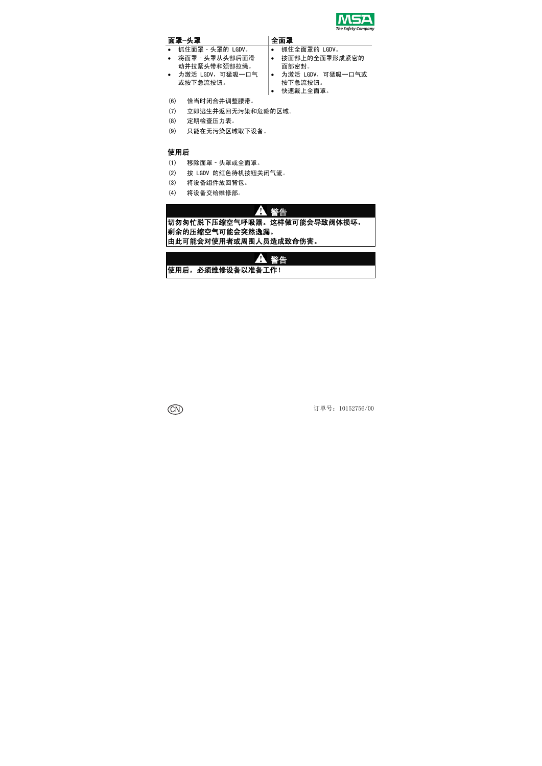

### 面罩-头罩 全面罩

- 
- 将面罩‐头罩从头部后面滑 动并拉紧头带和颈部拉绳。
- 为激活 LGDV, 可猛吸一口气 或按下急流按钮。
- (6) 恰当时闭合并调整腰带。
- (7) 立即逃生并返回无污染和危险的区域。
- (8) 定期检查压力表。
- (9) 只能在无污染区域取下设备。

### 使用后

- (1) 移除面罩‐头罩或全面罩。
- (2) 按 LGDV 的红色待机按钮关闭气流。

剩余的压缩空气可能会突然逸漏。

使用后,必须维修设备以准备工作!

- (3) 将设备组件放回背包。
- (4) 将设备交给维修部。

警告

警告

切勿匆忙脱下压缩空气呼吸器。这样做可能会导致阀体损坏,

- 抓住面罩‐头罩的 LGDV。 抓住全面罩的 LGDV。
	- 按面部上的全面罩形成紧密的 面部密封。
	- 为激活 LGDV, 可猛吸一口气或 按下急流按钮。
	- 快速戴上全面罩。



由此可能会对使用者或周围人员造成致命伤害。

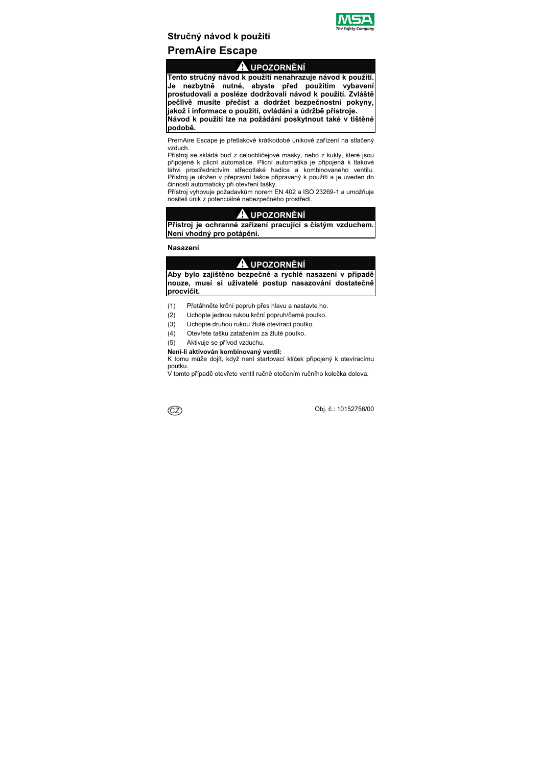

# **Stručný návod k použití PremAire Escape**

# **UPOZORNĚNÍ**

**Tento stručný návod k použití nenahrazuje návod k použití. Je nezbytně nutné, abyste před použitím vybavení prostudovali a posléze dodržovali návod k použití. Zvláště pečlivě musíte přečíst a dodržet bezpečnostní pokyny, jakož i informace o použití, ovládání a údržbě přístroje. Návod k použití lze na požádání poskytnout také v tištěné podobě.** 

PremAire Escape je přetlakové krátkodobé únikové zařízení na stlačený vzduch.

Přístroj se skládá buď z celoobličejové masky, nebo z kukly, které jsou připojené k plicní automatice. Plicní automatika je připojená k tlakové láhvi prostřednictvím středotlaké hadice a kombinovaného ventilu. Přístroj je uložen v přepravní tašce připravený k použití a je uveden do činnosti automaticky při otevření tašky.

Přístroj vyhovuje požadavkům norem EN 402 a ISO 23269-1 a umožňuje nositeli únik z potenciálně nebezpečného prostředí.

# **UPOZORNĚNÍ**

**Přístroj je ochranné zařízení pracující s čistým vzduchem. Není vhodný pro potápění.** 

**Nasazení** 

# **UPOZORNĚNÍ**

**Aby bylo zajištěno bezpečné a rychlé nasazení v případě nouze, musí si uživatelé postup nasazování dostatečně procvičit.** 

- (1) Přetáhněte krční popruh přes hlavu a nastavte ho.
- (2) Uchopte jednou rukou krční popruh/černé poutko.
- (3) Uchopte druhou rukou žluté otevírací poutko.
- (4) Otevřete tašku zatažením za žluté poutko.
- (5) Aktivuje se přívod vzduchu.

### **Není-li aktivován kombinovaný ventil:**

K tomu může dojít, když není startovací klíček připojený k otevíracímu poutku.

V tomto případě otevřete ventil ručně otočením ručního kolečka doleva.

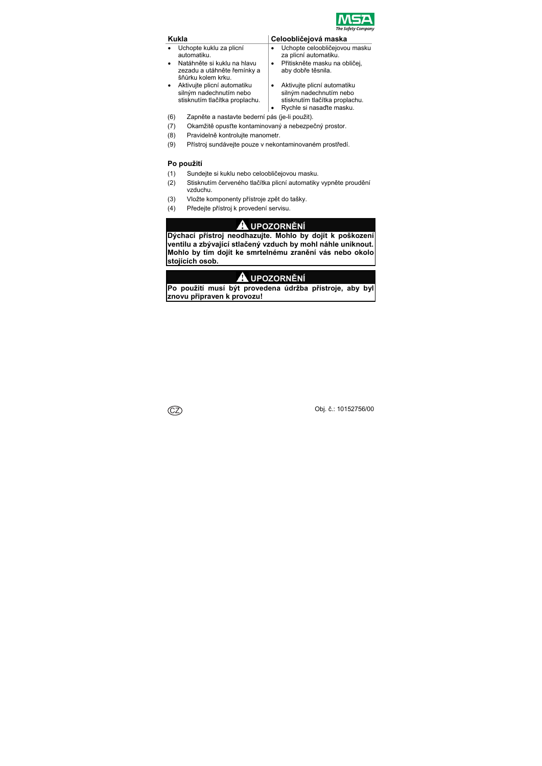

- Uchopte kuklu za plicní automatiku.
- Natáhněte si kuklu na hlavu zezadu a utáhněte řemínky a šňůrku kolem krku.
- Aktivujte plicní automatiku silným nadechnutím nebo stisknutím tlačítka proplachu.

### **Kukla Celoobličejová maska**

- Uchopte celoobličejovou masku za plicní automatiku.
- Přitiskněte masku na obličej, aby dobře těsnila.
- Aktivujte plicní automatiku silným nadechnutím nebo stisknutím tlačítka proplachu.
- Rychle si nasaďte masku.
- (6) Zapněte a nastavte bederní pás (je-li použit).
- (7) Okamžitě opusťte kontaminovaný a nebezpečný prostor.
- (8) Pravidelně kontrolujte manometr.
- (9) Přístroj sundávejte pouze v nekontaminovaném prostředí.

### **Po použití**

- (1) Sundejte si kuklu nebo celoobličejovou masku.
- (2) Stisknutím červeného tlačítka plicní automatiky vypněte proudění vzduchu.
- (3) Vložte komponenty přístroje zpět do tašky.
- (4) Předejte přístroj k provedení servisu.

# **UPOZORNĚNÍ**

**Dýchací přístroj neodhazujte. Mohlo by dojít k poškození ventilu a zbývající stlačený vzduch by mohl náhle uniknout. Mohlo by tím dojít ke smrtelnému zranění vás nebo okolo stojících osob.** 

# **UPOZORNĚNÍ**

**Po použití musí být provedena údržba přístroje, aby byl znovu připraven k provozu!** 

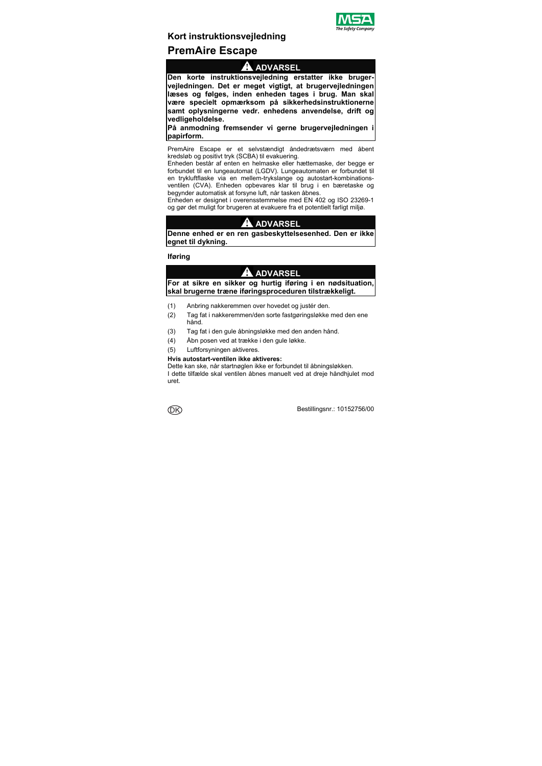

# **Kort instruktionsvejledning PremAire Escape**

### **ADVARSEL**

**Den korte instruktionsvejledning erstatter ikke brugervejledningen. Det er meget vigtigt, at brugervejledningen læses og følges, inden enheden tages i brug. Man skal være specielt opmærksom på sikkerhedsinstruktionerne samt oplysningerne vedr. enhedens anvendelse, drift og vedligeholdelse.** 

**På anmodning fremsender vi gerne brugervejledningen i papirform.** 

PremAire Escape er et selvstændigt åndedrætsværn med åbent kredsløb og positivt tryk (SCBA) til evakuering.

Enheden består af enten en helmaske eller hættemaske, der begge er forbundet til en lungeautomat (LGDV). Lungeautomaten er forbundet til en trykluftflaske via en mellem-trykslange og autostart-kombinationsventilen (CVA). Enheden opbevares klar til brug i en bæretaske og begynder automatisk at forsyne luft, når tasken åbnes.

Enheden er designet i overensstemmelse med EN 402 og ISO 23269-1 og gør det muligt for brugeren at evakuere fra et potentielt farligt miljø.

# **ADVARSEL**

**Denne enhed er en ren gasbeskyttelsesenhed. Den er ikke egnet til dykning.** 

### **Iføring**

#### A **ADVARSEL**

**For at sikre en sikker og hurtig iføring i en nødsituation, skal brugerne træne iføringsproceduren tilstrækkeligt.** 

- (1) Anbring nakkeremmen over hovedet og justér den.
- (2) Tag fat i nakkeremmen/den sorte fastgøringsløkke med den ene hånd.
- (3) Tag fat i den gule åbningsløkke med den anden hånd.
- (4) Åbn posen ved at trække i den gule løkke.
- (5) Luftforsyningen aktiveres.

#### **Hvis autostart-ventilen ikke aktiveres:**

Dette kan ske, når startnøglen ikke er forbundet til åbningsløkken. I dette tilfælde skal ventilen åbnes manuelt ved at dreje håndhjulet mod uret.

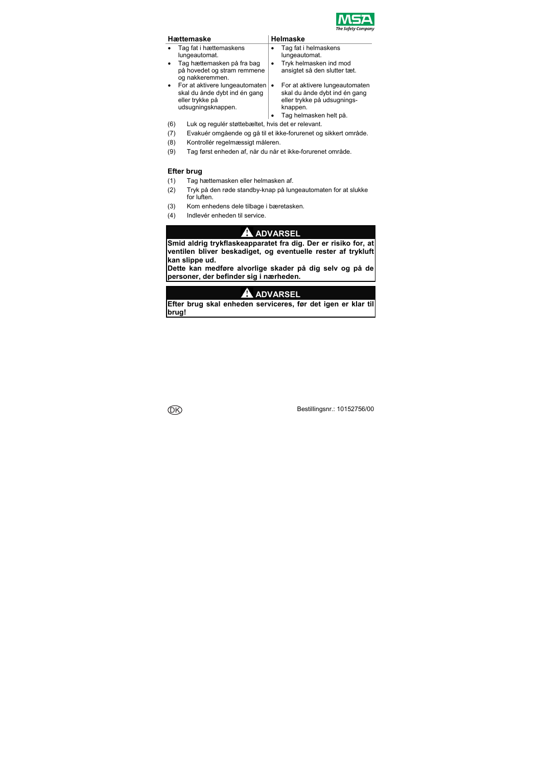

| Hættemaske |                                                                                                          |           | Helmaske                                                                                                                             |  |  |  |
|------------|----------------------------------------------------------------------------------------------------------|-----------|--------------------------------------------------------------------------------------------------------------------------------------|--|--|--|
|            | Tag fat i hættemaskens<br>lungeautomat.                                                                  |           | Tag fat i helmaskens<br>lungeautomat.                                                                                                |  |  |  |
|            | Tag hættemasken på fra bag<br>på hovedet og stram remmene<br>og nakkeremmen.                             | ٠         | Tryk helmasken ind mod<br>ansigtet så den slutter tæt.                                                                               |  |  |  |
|            | For at aktivere lungeautomaten<br>skal du ånde dybt ind én gang<br>eller trykke på<br>udsugningsknappen. | $\bullet$ | For at aktivere lungeautomaten<br>skal du ånde dybt ind én gang<br>eller trykke på udsugnings-<br>knappen.<br>Tag helmasken helt på. |  |  |  |
|            | المتحررة المترجم المواج والربط والمطاحم والمللسلم والمناصب ومراجع والروال                                |           |                                                                                                                                      |  |  |  |

- (6) Luk og regulér støttebæltet, hvis det er relevant.
- (7) Evakuér omgående og gå til et ikke-forurenet og sikkert område.
- (8) Kontrollér regelmæssigt måleren.
- (9) Tag først enheden af, når du når et ikke-forurenet område.

### **Efter brug**

- (1) Tag hættemasken eller helmasken af.
- (2) Tryk på den røde standby-knap på lungeautomaten for at slukke for luften.
- (3) Kom enhedens dele tilbage i bæretasken.
- (4) Indlevér enheden til service.

# **ADVARSEL**

**Smid aldrig trykflaskeapparatet fra dig. Der er risiko for, at ventilen bliver beskadiget, og eventuelle rester af trykluft kan slippe ud.** 

**Dette kan medføre alvorlige skader på dig selv og på de personer, der befinder sig i nærheden.** 

# **ADVARSEL**

**Efter brug skal enheden serviceres, før det igen er klar til brug!**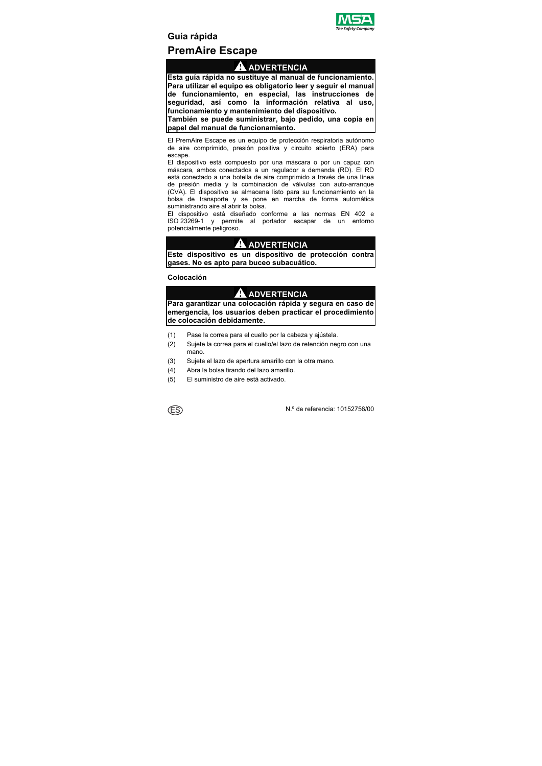

# **Guía rápida PremAire Escape**

# **ADVERTENCIA**

**Esta guía rápida no sustituye al manual de funcionamiento. Para utilizar el equipo es obligatorio leer y seguir el manual de funcionamiento, en especial, las instrucciones de seguridad, así como la información relativa al uso, funcionamiento y mantenimiento del dispositivo.** 

**También se puede suministrar, bajo pedido, una copia en papel del manual de funcionamiento.** 

El PremAire Escape es un equipo de protección respiratoria autónomo de aire comprimido, presión positiva y circuito abierto (ERA) para escape.

El dispositivo está compuesto por una máscara o por un capuz con máscara, ambos conectados a un regulador a demanda (RD). El RD está conectado a una botella de aire comprimido a través de una línea de presión media y la combinación de válvulas con auto-arranque (CVA). El dispositivo se almacena listo para su funcionamiento en la bolsa de transporte y se pone en marcha de forma automática suministrando aire al abrir la bolsa.

El dispositivo está diseñado conforme a las normas EN 402 e ISO 23269-1 y permite al portador escapar de un entorno potencialmente peligroso.

# **ADVERTENCIA**

**Este dispositivo es un dispositivo de protección contra gases. No es apto para buceo subacuático.** 

### **Colocación**

# **ADVERTENCIA**

**Para garantizar una colocación rápida y segura en caso de emergencia, los usuarios deben practicar el procedimiento de colocación debidamente.** 

- (1) Pase la correa para el cuello por la cabeza y ajústela.
- (2) Sujete la correa para el cuello/el lazo de retención negro con una mano.
- (3) Sujete el lazo de apertura amarillo con la otra mano.
- (4) Abra la bolsa tirando del lazo amarillo.
- (5) El suministro de aire está activado.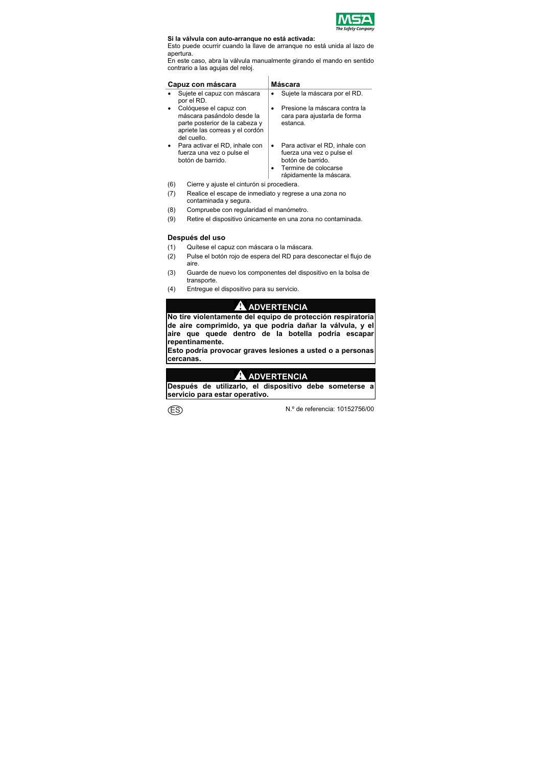

#### **Si la válvula con auto-arranque no está activada:**

Esto puede ocurrir cuando la llave de arranque no está unida al lazo de apertura.

En este caso, abra la válvula manualmente girando el mando en sentido contrario a las agujas del reloj.

| Capuz con máscara                                                                                                                        | Máscara                                                                                                                                  |  |  |
|------------------------------------------------------------------------------------------------------------------------------------------|------------------------------------------------------------------------------------------------------------------------------------------|--|--|
| Sujete el capuz con máscara<br>por el RD.                                                                                                | Sujete la máscara por el RD.                                                                                                             |  |  |
| Colóquese el capuz con<br>máscara pasándolo desde la<br>parte posterior de la cabeza y<br>apriete las correas y el cordón<br>del cuello. | Presione la máscara contra la<br>cara para ajustarla de forma<br>estanca.                                                                |  |  |
| Para activar el RD, inhale con<br>fuerza una vez o pulse el<br>botón de barrido.                                                         | Para activar el RD, inhale con<br>٠<br>fuerza una vez o pulse el<br>botón de barrido.<br>Termine de colocarse<br>rápidamente la máscara. |  |  |

- (6) Cierre y ajuste el cinturón si procediera.
- (7) Realice el escape de inmediato y regrese a una zona no contaminada y segura.
- (8) Compruebe con regularidad el manómetro.
- (9) Retire el dispositivo únicamente en una zona no contaminada.

### **Después del uso**

- (1) Quítese el capuz con máscara o la máscara.
- (2) Pulse el botón rojo de espera del RD para desconectar el flujo de aire.
- (3) Guarde de nuevo los componentes del dispositivo en la bolsa de transporte.
- (4) Entregue el dispositivo para su servicio.

# **ADVERTENCIA**

**No tire violentamente del equipo de protección respiratoria de aire comprimido, ya que podría dañar la válvula, y el aire que quede dentro de la botella podría escapar repentinamente.** 

**Esto podría provocar graves lesiones a usted o a personas cercanas.** 

# **ADVERTENCIA**

**Después de utilizarlo, el dispositivo debe someterse a servicio para estar operativo.** 

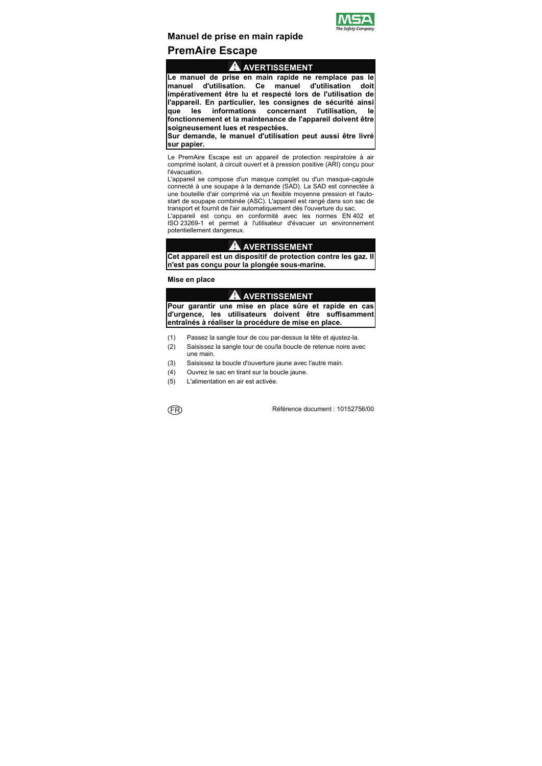

# **Manuel de prise en main rapide**

# **PremAire Escape**

# **AVERTISSEMENT**

**Le manuel de prise en main rapide ne remplace pas le manuel d'utilisation. Ce manuel d'utilisation doit impérativement être lu et respecté lors de l'utilisation de l'appareil. En particulier, les consignes de sécurité ainsi que les informations concernant l'utilisation, le fonctionnement et la maintenance de l'appareil doivent être soigneusement lues et respectées.** 

**Sur demande, le manuel d'utilisation peut aussi être livré sur papier.** 

Le PremAire Escape est un appareil de protection respiratoire à air comprimé isolant, à circuit ouvert et à pression positive (ARI) conçu pour l'évacuation.

L'appareil se compose d'un masque complet ou d'un masque-cagoule connecté à une soupape à la demande (SAD). La SAD est connectée à une bouteille d'air comprimé via un flexible moyenne pression et l'autostart de soupape combinée (ASC). L'appareil est rangé dans son sac de transport et fournit de l'air automatiquement dès l'ouverture du sac.

L'appareil est conçu en conformité avec les normes EN 402 et ISO 23269-1 et permet à l'utilisateur d'évacuer un environnement potentiellement dangereux.

### **AVERTISSEMENT**

**Cet appareil est un dispositif de protection contre les gaz. Il n'est pas conçu pour la plongée sous-marine.** 

**Mise en place** 

# **AVERTISSEMENT**

**Pour garantir une mise en place sûre et rapide en cas d'urgence, les utilisateurs doivent être suffisamment entraînés à réaliser la procédure de mise en place.** 

- (1) Passez la sangle tour de cou par-dessus la tête et ajustez-la.
- (2) Saisissez la sangle tour de cou/la boucle de retenue noire avec une main.
- (3) Saisissez la boucle d'ouverture jaune avec l'autre main.
- (4) Ouvrez le sac en tirant sur la boucle jaune.
- (5) L'alimentation en air est activée.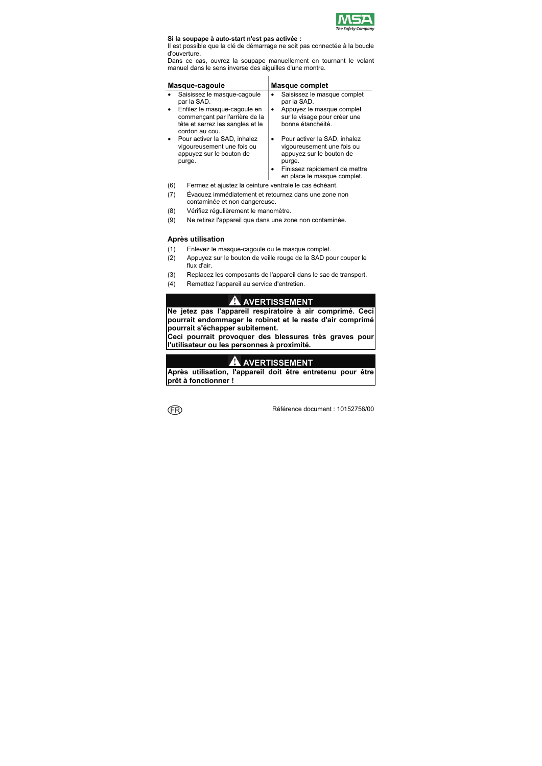

#### **Si la soupape à auto-start n'est pas activée :**

Il est possible que la clé de démarrage ne soit pas connectée à la boucle d'ouverture.

Dans ce cas, ouvrez la soupape manuellement en tournant le volant manuel dans le sens inverse des aiguilles d'une montre.

| Masque-cagoule                                                                                   | <b>Masque complet</b>                                                                                                                                            |  |  |
|--------------------------------------------------------------------------------------------------|------------------------------------------------------------------------------------------------------------------------------------------------------------------|--|--|
| Saisissez le masque-cagoule                                                                      | Saisissez le masque complet                                                                                                                                      |  |  |
| par la SAD.                                                                                      | par la SAD.                                                                                                                                                      |  |  |
| Enfilez le masque-cagoule en                                                                     | Appuyez le masque complet                                                                                                                                        |  |  |
| commençant par l'arrière de la                                                                   | ٠                                                                                                                                                                |  |  |
| tête et serrez les sangles et le                                                                 | sur le visage pour créer une                                                                                                                                     |  |  |
| cordon au cou.                                                                                   | bonne étanchéité.                                                                                                                                                |  |  |
| Pour activer la SAD, inhalez<br>vigoureusement une fois ou<br>appuyez sur le bouton de<br>purge. | Pour activer la SAD, inhalez<br>vigoureusement une fois ou<br>appuyez sur le bouton de<br>purge.<br>Finissez rapidement de mettre<br>en place le masque complet. |  |  |

- (6) Fermez et ajustez la ceinture ventrale le cas échéant.
- (7) Évacuez immédiatement et retournez dans une zone non contaminée et non dangereuse.
- (8) Vérifiez régulièrement le manomètre.
- (9) Ne retirez l'appareil que dans une zone non contaminée.

### **Après utilisation**

- (1) Enlevez le masque-cagoule ou le masque complet.
- (2) Appuyez sur le bouton de veille rouge de la SAD pour couper le flux d'air.
- (3) Replacez les composants de l'appareil dans le sac de transport.
- (4) Remettez l'appareil au service d'entretien.

# **AVERTISSEMENT**

**Ne jetez pas l'appareil respiratoire à air comprimé. Ceci pourrait endommager le robinet et le reste d'air comprimé pourrait s'échapper subitement.** 

**Ceci pourrait provoquer des blessures très graves pour l'utilisateur ou les personnes à proximité.** 

# **AVERTISSEMENT**

**Après utilisation, l'appareil doit être entretenu pour être prêt à fonctionner !**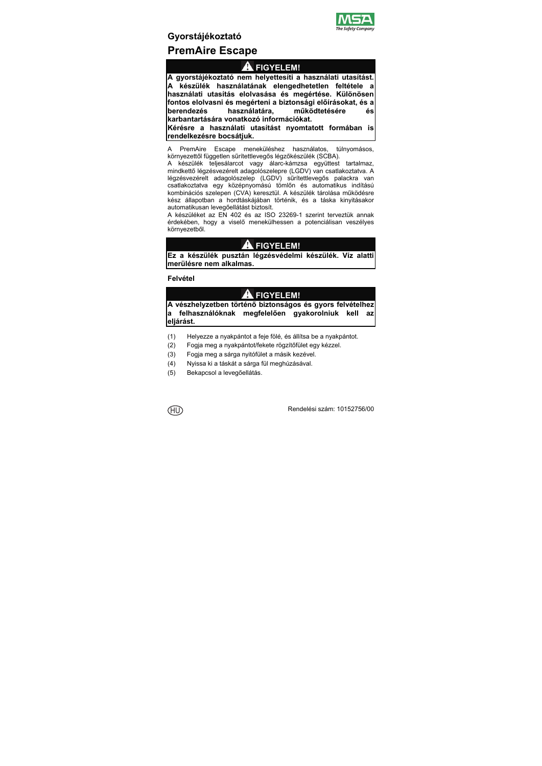

# **Gyorstájékoztató PremAire Escape**

# **FIGYELEM!**

**A gyorstájékoztató nem helyettesíti a használati utasítást. A készülék használatának elengedhetetlen feltétele a használati utasítás elolvasása és megértése. Különösen fontos elolvasni és megérteni a biztonsági előírásokat, és a berendezés használatára, működtetésére és karbantartására vonatkozó információkat. Kérésre a használati utasítást nyomtatott formában is** 

**rendelkezésre bocsátjuk.** 

A PremAire Escape meneküléshez használatos, túlnyomásos, környezettől független sűrítettlevegős légzőkészülék (SCBA).

A készülék teljesálarcot vagy álarc-kámzsa együttest tartalmaz, mindkettő légzésvezérelt adagolószelepre (LGDV) van csatlakoztatva. A légzésvezérelt adagolószelep (LGDV) sűrítettlevegős palackra van csatlakoztatva egy középnyomású tömlőn és automatikus indítású kombinációs szelepen (CVA) keresztül. A készülék tárolása működésre kész állapotban a hordtáskájában történik, és a táska kinyitásakor automatikusan levegőellátást biztosít.

A készüléket az EN 402 és az ISO 23269-1 szerint terveztük annak érdekében, hogy a viselő menekülhessen a potenciálisan veszélyes környezetből.

# **A** FIGYELEM!

**Ez a készülék pusztán légzésvédelmi készülék. Víz alatti merülésre nem alkalmas.** 

### **Felvétel**

# **FIGYELEM!**

**A vészhelyzetben történő biztonságos és gyors felvételhez a felhasználóknak megfelelően gyakorolniuk kell az eljárást.** 

- (1) Helyezze a nyakpántot a feje fölé, és állítsa be a nyakpántot.
- (2) Fogja meg a nyakpántot/fekete rögzítőfület egy kézzel.
- (3) Fogja meg a sárga nyitófület a másik kezével.
- (4) Nyissa ki a táskát a sárga fül meghúzásával.
- (5) Bekapcsol a levegőellátás.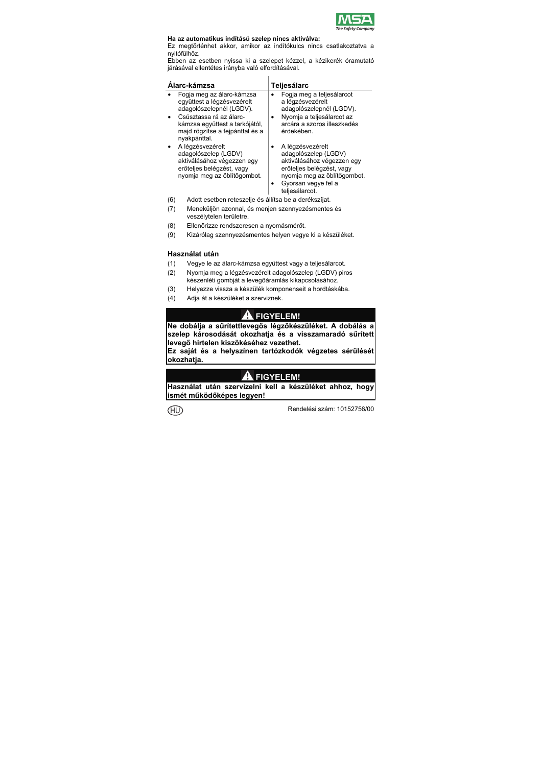

### **Ha az automatikus indítású szelep nincs aktiválva:**

Ez megtörténhet akkor, amikor az indítókulcs nincs csatlakoztatva a nyitófülhöz.

Ebben az esetben nyissa ki a szelepet kézzel, a kézikerék óramutató járásával ellentétes irányba való elfordításával.

| Álarc-kámzsa |                                                                                                                                                                                                     |   | Teljesálarc                                                                                                                                                                 |
|--------------|-----------------------------------------------------------------------------------------------------------------------------------------------------------------------------------------------------|---|-----------------------------------------------------------------------------------------------------------------------------------------------------------------------------|
|              | Fogia meg az álarc-kámzsa<br>együttest a légzésvezérelt<br>adagolószelepnél (LGDV).<br>Csúsztassa rá az álarc-<br>kámzsa együttest a tarkójától,<br>majd rögzítse a fejpánttal és a<br>nyakpánttal. | ٠ | Fogia meg a teljesálarcot<br>a légzésvezérelt<br>adagolószelepnél (LGDV).<br>Nyomja a teljesálarcot az<br>arcára a szoros illeszkedés<br>érdekében.                         |
|              | A légzésvezérelt<br>adagolószelep (LGDV)<br>aktiválásához végezzen egy<br>erőteljes belégzést, vagy<br>nyomja meg az öblítőgombot.                                                                  |   | A légzésvezérelt<br>adagolószelep (LGDV)<br>aktiválásához végezzen egy<br>erőteljes belégzést, vagy<br>nyomja meg az öblítőgombot.<br>Gyorsan vegye fel a<br>teliesálarcot. |

- (6) Adott esetben reteszelje és állítsa be a derékszíjat.
- (7) Meneküljön azonnal, és menjen szennyezésmentes és veszélytelen területre.
- (8) Ellenőrizze rendszeresen a nyomásmérőt.
- (9) Kizárólag szennyezésmentes helyen vegye ki a készüléket.

### **Használat után**

- (1) Vegye le az álarc-kámzsa együttest vagy a teljesálarcot.
- (2) Nyomja meg a légzésvezérelt adagolószelep (LGDV) piros készenléti gombját a levegőáramlás kikapcsolásához.
- (3) Helyezze vissza a készülék komponenseit a hordtáskába.
- (4) Adja át a készüléket a szerviznek.

# **FIGYELEM!**

**Ne dobálja a sűrítettlevegős légzőkészüléket. A dobálás a szelep károsodását okozhatja és a visszamaradó sűrített levegő hirtelen kiszökéséhez vezethet.** 

**Ez saját és a helyszínen tartózkodók végzetes sérülését okozhatja.** 

# **FIGYELEM!**

**Használat után szervizelni kell a készüléket ahhoz, hogy ismét működőképes legyen!**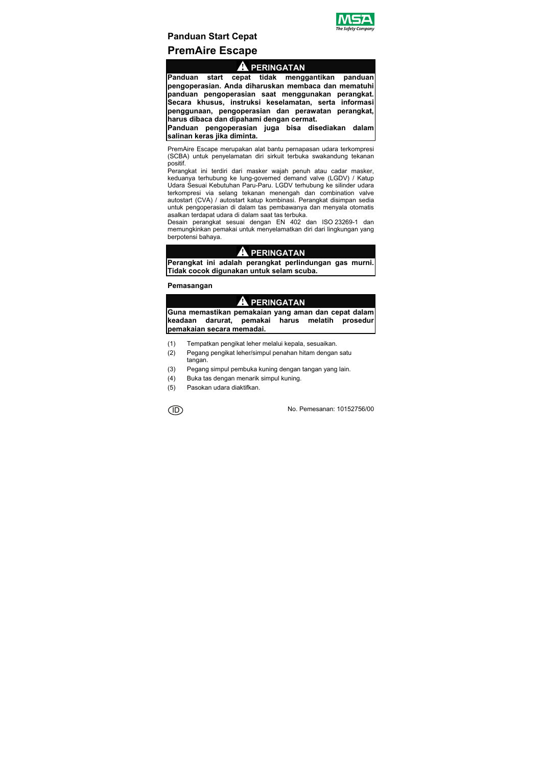

# **Panduan Start Cepat PremAire Escape**

### **PERINGATAN**

**Panduan start cepat tidak menggantikan panduan pengoperasian. Anda diharuskan membaca dan mematuhi panduan pengoperasian saat menggunakan perangkat. Secara khusus, instruksi keselamatan, serta informasi penggunaan, pengoperasian dan perawatan perangkat, harus dibaca dan dipahami dengan cermat.** 

**Panduan pengoperasian juga bisa disediakan dalam salinan keras jika diminta.** 

PremAire Escape merupakan alat bantu pernapasan udara terkompresi (SCBA) untuk penyelamatan diri sirkuit terbuka swakandung tekanan positif.

Perangkat ini terdiri dari masker wajah penuh atau cadar masker, keduanya terhubung ke lung-governed demand valve (LGDV) / Katup Udara Sesuai Kebutuhan Paru-Paru. LGDV terhubung ke silinder udara terkompresi via selang tekanan menengah dan combination valve autostart (CVA) / autostart katup kombinasi. Perangkat disimpan sedia untuk pengoperasian di dalam tas pembawanya dan menyala otomatis asalkan terdapat udara di dalam saat tas terbuka.

Desain perangkat sesuai dengan EN 402 dan ISO 23269-1 dan memungkinkan pemakai untuk menyelamatkan diri dari lingkungan yang berpotensi bahaya.

### **PERINGATAN**

**Perangkat ini adalah perangkat perlindungan gas murni. Tidak cocok digunakan untuk selam scuba.** 

### **Pemasangan**

# **PERINGATAN**

**Guna memastikan pemakaian yang aman dan cepat dalam keadaan darurat, pemakai harus melatih prosedur pemakaian secara memadai.** 

- (1) Tempatkan pengikat leher melalui kepala, sesuaikan.
- (2) Pegang pengikat leher/simpul penahan hitam dengan satu tangan.
- (3) Pegang simpul pembuka kuning dengan tangan yang lain.
- (4) Buka tas dengan menarik simpul kuning.
- (5) Pasokan udara diaktifkan.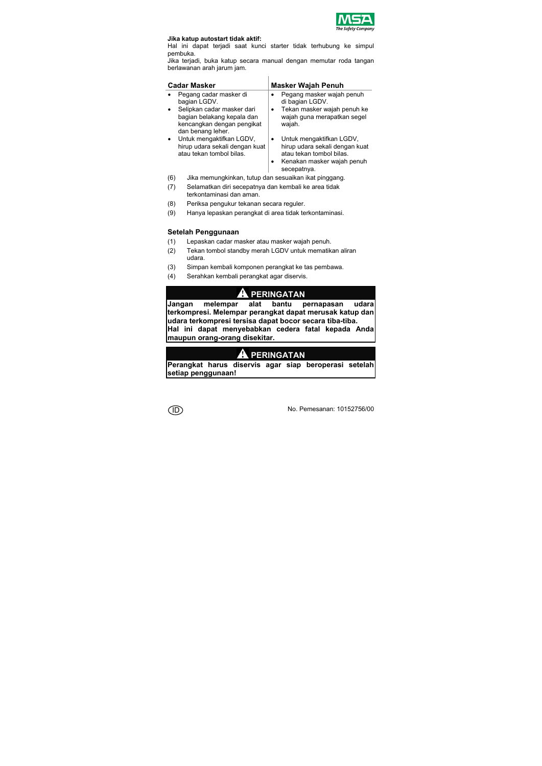

#### **Jika katup autostart tidak aktif:**

Hal ini dapat terjadi saat kunci starter tidak terhubung ke simpul pembuka.

Jika terjadi, buka katup secara manual dengan memutar roda tangan berlawanan arah jarum jam.

| <b>Cadar Masker</b>                                                                    | <b>Masker Wajah Penuh</b>                                                                                                                |  |  |  |
|----------------------------------------------------------------------------------------|------------------------------------------------------------------------------------------------------------------------------------------|--|--|--|
| Pegang cadar masker di<br>bagian LGDV.<br>Selipkan cadar masker dari                   | Pegang masker wajah penuh<br>di bagian LGDV.<br>Tekan masker wajah penuh ke                                                              |  |  |  |
| bagian belakang kepala dan<br>kencangkan dengan pengikat<br>dan benang leher.          | wajah guna merapatkan segel<br>wajah.                                                                                                    |  |  |  |
| Untuk mengaktifkan LGDV,<br>hirup udara sekali dengan kuat<br>atau tekan tombol bilas. | Untuk mengaktifkan LGDV,<br>hirup udara sekali dengan kuat<br>atau tekan tombol bilas.<br>Kenakan masker wajah penuh<br>٠<br>secepatnya. |  |  |  |

- (6) Jika memungkinkan, tutup dan sesuaikan ikat pinggang.
- (7) Selamatkan diri secepatnya dan kembali ke area tidak terkontaminasi dan aman.
- (8) Periksa pengukur tekanan secara reguler.
- (9) Hanya lepaskan perangkat di area tidak terkontaminasi.

#### **Setelah Penggunaan**

- (1) Lepaskan cadar masker atau masker wajah penuh.
- (2) Tekan tombol standby merah LGDV untuk mematikan aliran udara.
- (3) Simpan kembali komponen perangkat ke tas pembawa.
- (4) Serahkan kembali perangkat agar diservis.

# **PERINGATAN**

**Jangan melempar alat bantu pernapasan udara terkompresi. Melempar perangkat dapat merusak katup dan udara terkompresi tersisa dapat bocor secara tiba-tiba. Hal ini dapat menyebabkan cedera fatal kepada Anda maupun orang-orang disekitar.** 

# **PERINGATAN**

**Perangkat harus diservis agar siap beroperasi setelah setiap penggunaan!**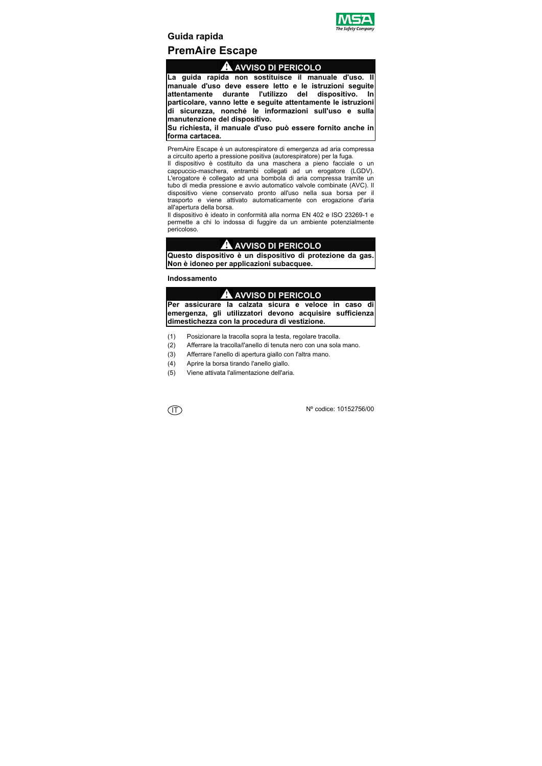

**Guida rapida** 

# **PremAire Escape**

### **AVVISO DI PERICOLO**

**La guida rapida non sostituisce il manuale d'uso. Il manuale d'uso deve essere letto e le istruzioni seguite attentamente durante l'utilizzo del dispositivo. In particolare, vanno lette e seguite attentamente le istruzioni di sicurezza, nonché le informazioni sull'uso e sulla manutenzione del dispositivo.** 

**Su richiesta, il manuale d'uso può essere fornito anche in forma cartacea.** 

PremAire Escape è un autorespiratore di emergenza ad aria compressa a circuito aperto a pressione positiva (autorespiratore) per la fuga.

Il dispositivo è costituito da una maschera a pieno facciale o un cappuccio-maschera, entrambi collegati ad un erogatore (LGDV). L'erogatore è collegato ad una bombola di aria compressa tramite un tubo di media pressione e avvio automatico valvole combinate (AVC). Il dispositivo viene conservato pronto all'uso nella sua borsa per il trasporto e viene attivato automaticamente con erogazione d'aria all'apertura della borsa.

Il dispositivo è ideato in conformità alla norma EN 402 e ISO 23269-1 e permette a chi lo indossa di fuggire da un ambiente potenzialmente pericoloso.

### **AVVISO DI PERICOLO**

**Questo dispositivo è un dispositivo di protezione da gas. Non è idoneo per applicazioni subacquee.** 

### **Indossamento**

# **AVVISO DI PERICOLO**

**Per assicurare la calzata sicura e veloce in caso di emergenza, gli utilizzatori devono acquisire sufficienza dimestichezza con la procedura di vestizione.** 

- (1) Posizionare la tracolla sopra la testa, regolare tracolla.
- (2) Afferrare la tracolla/l'anello di tenuta nero con una sola mano.
- (3) Afferrare l'anello di apertura giallo con l'altra mano.
- (4) Aprire la borsa tirando l'anello giallo.
- (5) Viene attivata l'alimentazione dell'aria.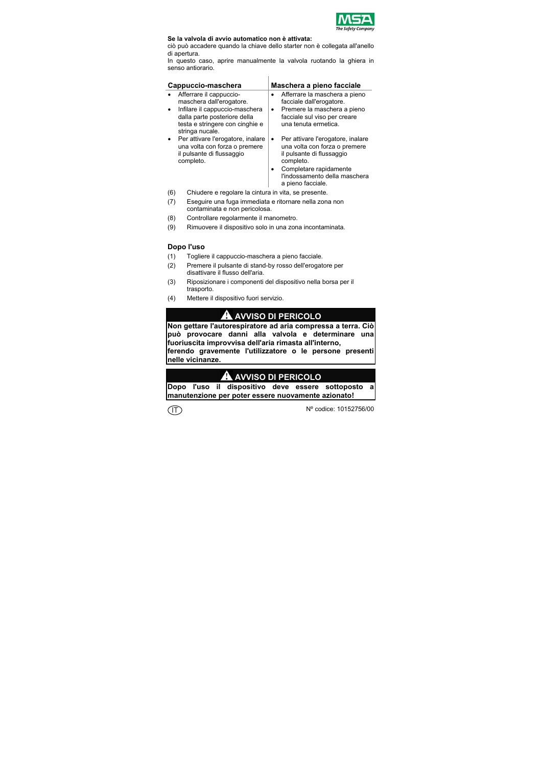

#### **Se la valvola di avvio automatico non è attivata:**

ciò può accadere quando la chiave dello starter non è collegata all'anello di apertura.

In questo caso, aprire manualmente la valvola ruotando la ghiera in senso antiorario.

| Cappuccio-maschera                                                                                                                                                          | Maschera a pieno facciale                                                                                                                                                                                 |
|-----------------------------------------------------------------------------------------------------------------------------------------------------------------------------|-----------------------------------------------------------------------------------------------------------------------------------------------------------------------------------------------------------|
| Afferrare il cappuccio-<br>maschera dall'erogatore.<br>Infilare il cappuccio-maschera<br>dalla parte posteriore della<br>testa e stringere con cinghie e<br>stringa nucale. | Afferrare la maschera a pieno<br>facciale dall'erogatore.<br>Premere la maschera a pieno<br>$\bullet$<br>facciale sul viso per creare<br>una tenuta ermetica.                                             |
| Per attivare l'erogatore, inalare<br>una volta con forza o premere<br>il pulsante di flussaggio<br>completo.                                                                | Per attivare l'erogatore, inalare<br>una volta con forza o premere<br>il pulsante di flussaggio<br>completo.<br>Completare rapidamente<br>$\bullet$<br>l'indossamento della maschera<br>a pieno facciale. |

- (6) Chiudere e regolare la cintura in vita, se presente.
- (7) Eseguire una fuga immediata e ritornare nella zona non contaminata e non pericolosa.
- (8) Controllare regolarmente il manometro.
- (9) Rimuovere il dispositivo solo in una zona incontaminata.

### **Dopo l'uso**

- (1) Togliere il cappuccio-maschera a pieno facciale.
- (2) Premere il pulsante di stand-by rosso dell'erogatore per disattivare il flusso dell'aria.
- (3) Riposizionare i componenti del dispositivo nella borsa per il trasporto.
- (4) Mettere il dispositivo fuori servizio.

# **AVVISO DI PERICOLO**

**Non gettare l'autorespiratore ad aria compressa a terra. Ciò può provocare danni alla valvola e determinare una fuoriuscita improvvisa dell'aria rimasta all'interno,** 

**ferendo gravemente l'utilizzatore o le persone presenti nelle vicinanze.** 

### **AVVISO DI PERICOLO**

**Dopo l'uso il dispositivo deve essere sottoposto a manutenzione per poter essere nuovamente azionato!**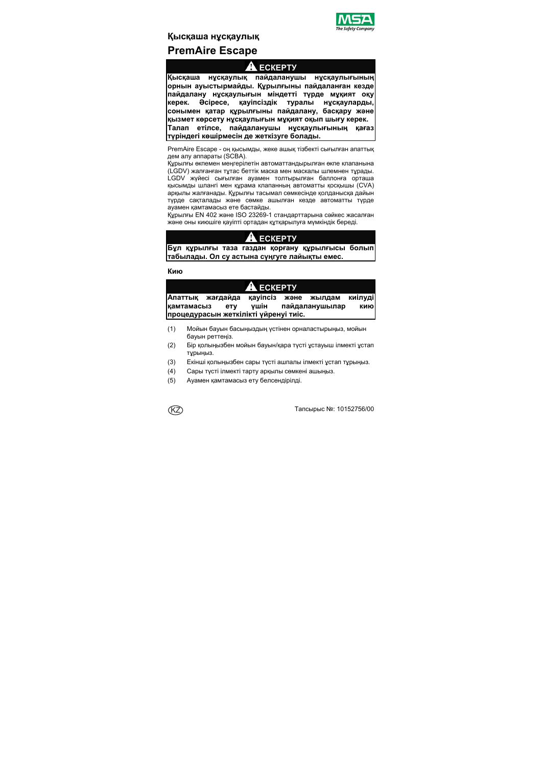

# **Қысқаша нұсқаулық PremAire Escape**

# **ЕСКЕРТУ**

**Қысқаша нұсқаулық пайдаланушы нұсқаулығының орнын ауыстырмайды. Құрылғыны пайдаланған кезде пайдалану нұсқаулығын міндетті түрде мұқият оқу керек. Əсіресе, қауіпсіздік туралы нұсқауларды, сонымен қатар құрылғыны пайдалану, басқару жəне қызмет көрсету нұсқаулығын мұқият оқып шығу керек. Талап етілсе, пайдаланушы нұсқаулығының қағаз түріндегі көшірмесін де жеткізуге болады.** 

PremAire Escape - оң қысымды, жеке ашық тізбекті сығылған апаттық дем алу аппараты (SCBA).

Құрылғы өкпемен меңгерілетін автоматтандырылған өкпе клапанына (LGDV) жалғанған тұтас беттік маска мен маскалы шлемнен тұрады. LGDV жүйесі сығылған ауамен толтырылған баллонға орташа қысымды шлангі мен құрама клапанның автоматты қосқышы (CVA) арқылы жалғанады. Құрылғы тасымал сөмкесінде қолданысқа дайын түрде сақталады жəне сөмке ашылған кезде автоматты түрде ауамен қамтамасыз ете бастайды.

Құрылғы EN 402 жəне ISO 23269-1 стандарттарына сəйкес жасалған жəне оны киюшіге қауіпті ортадан құтқарылуға мүмкіндік береді.

# **ЕСКЕРТУ**

**Бұл құрылғы таза газдан қорғану құрылғысы болып табылады. Ол су астына сүңгуге лайықты емес.** 

**Кию**

# **ЕСКЕРТУ**

|            | Апаттық жағдайда қауіпсіз және жылдам |      |                | киілуді |
|------------|---------------------------------------|------|----------------|---------|
| камтамасыз | <b>ety</b>                            | ∨шін | пайдаланушылар | кию     |
|            | процедурасын жеткілікті үйренуі тиіс. |      |                |         |

- (1) Мойын бауын басыңыздың үстінен орналастырыңыз, мойын бауын реттеңіз.
- (2) Бір қолыңызбен мойын бауын/қара түсті ұстауыш ілмекті ұстап тұрыңыз.
- (3) Екінші қолыңызбен сары түсті ашпалы ілмекті ұстап тұрыңыз.
- (4) Сары түсті ілмекті тарту арқылы сөмкені ашыңыз.
- (5) Ауамен қамтамасыз ету белсендірілді.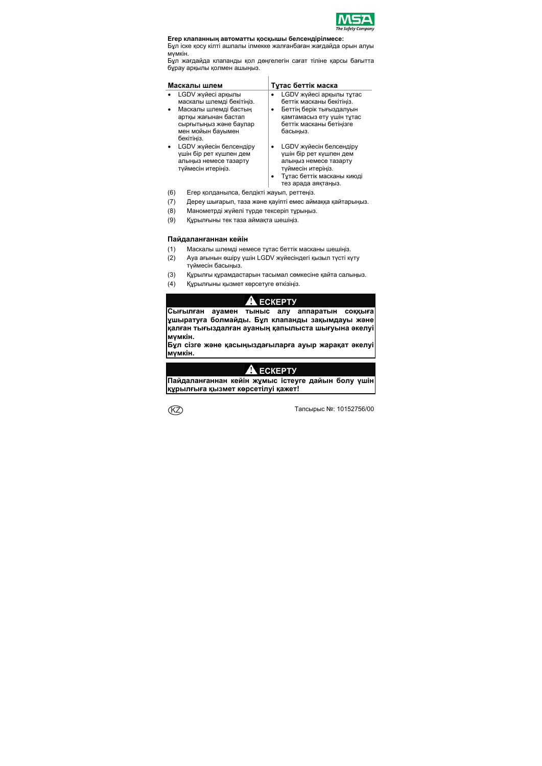

#### **Егер клапанның автоматты қосқышы белсендірілмесе:**

Бұл іске қосу кілті ашпалы ілмекке жалғанбаған жағдайда орын алуы мүмкін.

Бұл жағдайда клапанды қол дөңгелегін сағат тіліне қарсы бағытта бұрау арқылы қолмен ашыңыз.

| Маскалы шлем |                           |  | Тұтас беттік маска         |  |  |  |
|--------------|---------------------------|--|----------------------------|--|--|--|
|              | LGDV жүйесі арқылы        |  | LGDV жүйесі арқылы тұтас   |  |  |  |
|              | маскалы шлемді бекітіңіз. |  | беттік масканы бекітіңіз.  |  |  |  |
|              | Маскалы шлемді бастың     |  | Беттің берік тығыздалуын   |  |  |  |
|              | артқы жағынан бастап      |  | қамтамасыз ету үшін тұтас  |  |  |  |
|              | сырғытыңыз және баулар    |  | беттік масканы бетіңізге   |  |  |  |
|              | мен мойын бауымен         |  | басыңыз.                   |  |  |  |
|              | бекітініз.                |  |                            |  |  |  |
|              | LGDV жүйесін белсендіру   |  | LGDV жүйесін белсендіру    |  |  |  |
|              | ушін бір рет күшпен дем   |  | үшін бір рет күшпен дем    |  |  |  |
|              | алыңыз немесе тазарту     |  | алыңыз немесе тазарту      |  |  |  |
|              | туймесін итеріңіз.        |  | туймесін итеріңіз.         |  |  |  |
|              |                           |  | Тұтас беттік масканы киюді |  |  |  |
|              |                           |  | тез арада аяқтаңыз.        |  |  |  |

- (6) Егер қолданылса, белдікті жауып, реттеңіз.
- (7) Дереу шығарып, таза жəне қауіпті емес аймаққа қайтарыңыз.
- (8) Манометрді жүйелі түрде тексеріп тұрыңыз.
- (9) Құрылғыны тек таза аймақта шешіңіз.

#### **Пайдаланғаннан кейін**

- (1) Маскалы шлемді немесе тұтас беттік масканы шешіңіз.
- (2) Ауа ағынын өшіру үшін LGDV жүйесіндегі қызыл түсті күту түймесін басыңыз.
- (3) Құрылғы құрамдастарын тасымал сөмкесіне қайта салыңыз.
- (4) Құрылғыны қызмет көрсетуге өткізіңіз.

# **ЕСКЕРТУ**

**Сығылған ауамен тыныс алу аппаратын соққыға ұшыратуға болмайды. Бұл клапанды зақымдауы жəне қалған тығыздалған ауаның қапылыста шығуына əкелуі мүмкін.** 

**Бұл сізге жəне қасыңыздағыларға ауыр жарақат əкелуі мүмкін.** 

# **ЕСКЕРТУ**

**Пайдаланғаннан кейін жұмыс істеуге дайын болу үшін құрылғыға қызмет көрсетілуі қажет!** 

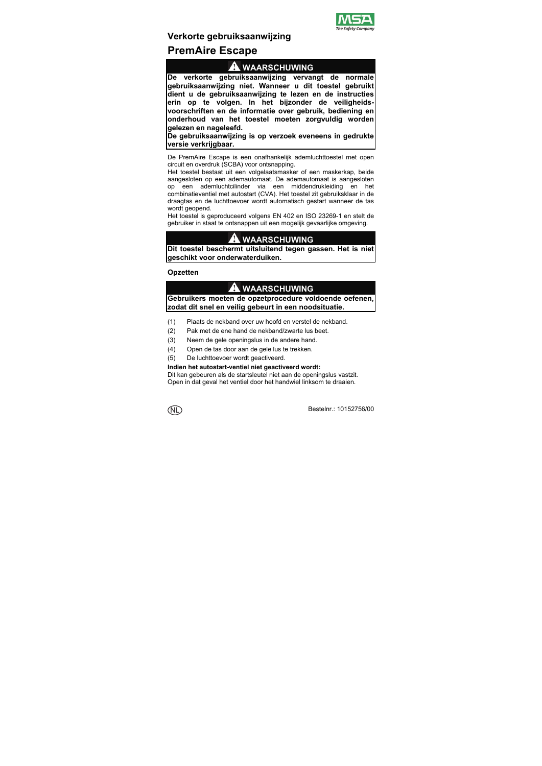

# **Verkorte gebruiksaanwijzing**

# **PremAire Escape**

### **WAARSCHUWING**

**De verkorte gebruiksaanwijzing vervangt de normale gebruiksaanwijzing niet. Wanneer u dit toestel gebruikt dient u de gebruiksaanwijzing te lezen en de instructies erin op te volgen. In het bijzonder de veiligheidsvoorschriften en de informatie over gebruik, bediening en onderhoud van het toestel moeten zorgvuldig worden gelezen en nageleefd.** 

**De gebruiksaanwijzing is op verzoek eveneens in gedrukte versie verkrijgbaar.** 

De PremAire Escape is een onafhankelijk ademluchttoestel met open circuit en overdruk (SCBA) voor ontsnapping.

Het toestel bestaat uit een volgelaatsmasker of een maskerkap, beide aangesloten op een ademautomaat. De ademautomaat is aangesloten op een ademluchtcilinder via een middendrukleiding en het combinatieventiel met autostart (CVA). Het toestel zit gebruiksklaar in de draagtas en de luchttoevoer wordt automatisch gestart wanneer de tas wordt geopend.

Het toestel is geproduceerd volgens EN 402 en ISO 23269-1 en stelt de gebruiker in staat te ontsnappen uit een mogelijk gevaarlijke omgeving.

# **WAARSCHUWING**

**Dit toestel beschermt uitsluitend tegen gassen. Het is niet geschikt voor onderwaterduiken.** 

### **Opzetten**

### **WAARSCHUWING**

**Gebruikers moeten de opzetprocedure voldoende oefenen, zodat dit snel en veilig gebeurt in een noodsituatie.** 

- (1) Plaats de nekband over uw hoofd en verstel de nekband.
- (2) Pak met de ene hand de nekband/zwarte lus beet.
- (3) Neem de gele openingslus in de andere hand.
- (4) Open de tas door aan de gele lus te trekken.
- (5) De luchttoevoer wordt geactiveerd.

#### **Indien het autostart-ventiel niet geactiveerd wordt:**

Dit kan gebeuren als de startsleutel niet aan de openingslus vastzit. Open in dat geval het ventiel door het handwiel linksom te draaien.

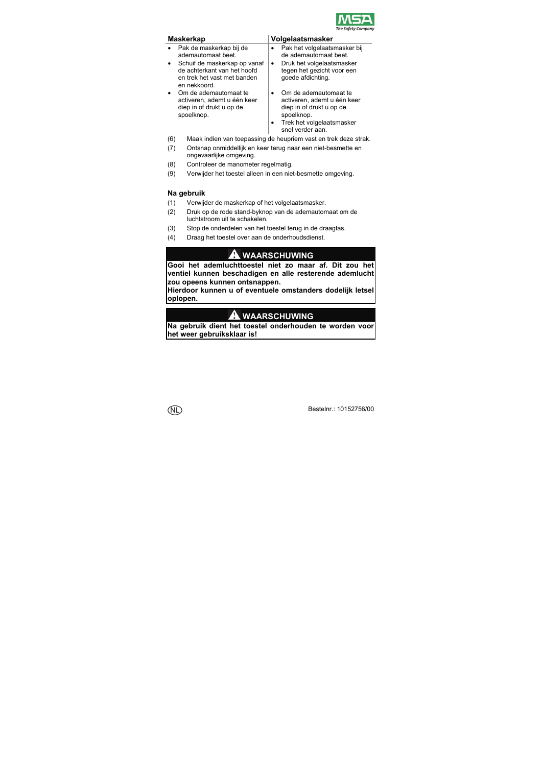

- Pak de maskerkap bij de ademautomaat beet.
- Schuif de maskerkap op vanaf de achterkant van het hoofd en trek het vast met banden en nekkoord.
- Om de ademautomaat te activeren, ademt u één keer diep in of drukt u op de spoelknop.

### **Maskerkap Volgelaatsmasker**

- Pak het volgelaatsmasker bij de ademautomaat beet.
- Druk het volgelaatsmasker tegen het gezicht voor een goede afdichting.
- Om de ademautomaat te activeren, ademt u één keer diep in of drukt u op de spoelknop.
- Trek het volgelaatsmasker snel verder aan.
- (6) Maak indien van toepassing de heupriem vast en trek deze strak.
- (7) Ontsnap onmiddellijk en keer terug naar een niet-besmette en ongevaarlijke omgeving.
- (8) Controleer de manometer regelmatig.
- (9) Verwijder het toestel alleen in een niet-besmette omgeving.

### **Na gebruik**

- (1) Verwijder de maskerkap of het volgelaatsmasker.
- (2) Druk op de rode stand-byknop van de ademautomaat om de luchtstroom uit te schakelen.
- (3) Stop de onderdelen van het toestel terug in de draagtas.
- (4) Draag het toestel over aan de onderhoudsdienst.

### **WAARSCHUWING**

**Gooi het ademluchttoestel niet zo maar af. Dit zou het ventiel kunnen beschadigen en alle resterende ademlucht zou opeens kunnen ontsnappen.** 

**Hierdoor kunnen u of eventuele omstanders dodelijk letsel oplopen.** 

# **WAARSCHUWING**

**Na gebruik dient het toestel onderhouden te worden voor het weer gebruiksklaar is!**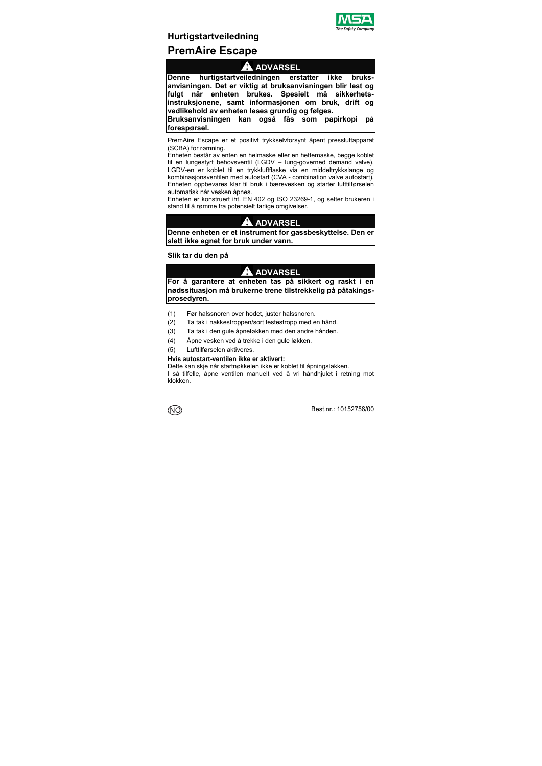

# **Hurtigstartveiledning PremAire Escape**

## **ADVARSEL**

**Denne hurtigstartveiledningen erstatter ikke bruksanvisningen. Det er viktig at bruksanvisningen blir lest og fulgt når enheten brukes. Spesielt må sikkerhetsinstruksjonene, samt informasjonen om bruk, drift og vedlikehold av enheten leses grundig og følges.** 

**Bruksanvisningen kan også fås som papirkopi på forespørsel.** 

PremAire Escape er et positivt trykkselvforsynt åpent pressluftapparat (SCBA) for rømning.

Enheten består av enten en helmaske eller en hettemaske, begge koblet til en lungestyrt behovsventil (LGDV – lung-governed demand valve). LGDV-en er koblet til en trykkluftflaske via en middeltrykkslange og kombinasjonsventilen med autostart (CVA - combination valve autostart). Enheten oppbevares klar til bruk i bærevesken og starter lufttilførselen automatisk når vesken åpnes.

Enheten er konstruert iht. EN 402 og ISO 23269-1, og setter brukeren i stand til å rømme fra potensielt farlige omgivelser.

# **ADVARSEL**

**Denne enheten er et instrument for gassbeskyttelse. Den er slett ikke egnet for bruk under vann.** 

**Slik tar du den på** 

### **ADVARSEL**

**For å garantere at enheten tas på sikkert og raskt i en nødssituasjon må brukerne trene tilstrekkelig på påtakingsprosedyren.** 

- (1) Før halssnoren over hodet, juster halssnoren.
- (2) Ta tak i nakkestroppen/sort festestropp med en hånd.
- (3) Ta tak i den gule åpneløkken med den andre hånden.
- (4) Åpne vesken ved å trekke i den gule løkken.
- (5) Lufttilførselen aktiveres.

#### **Hvis autostart-ventilen ikke er aktivert:**

Dette kan skje når startnøkkelen ikke er koblet til åpningsløkken.

I så tilfelle, åpne ventilen manuelt ved å vri håndhjulet i retning mot klokken.

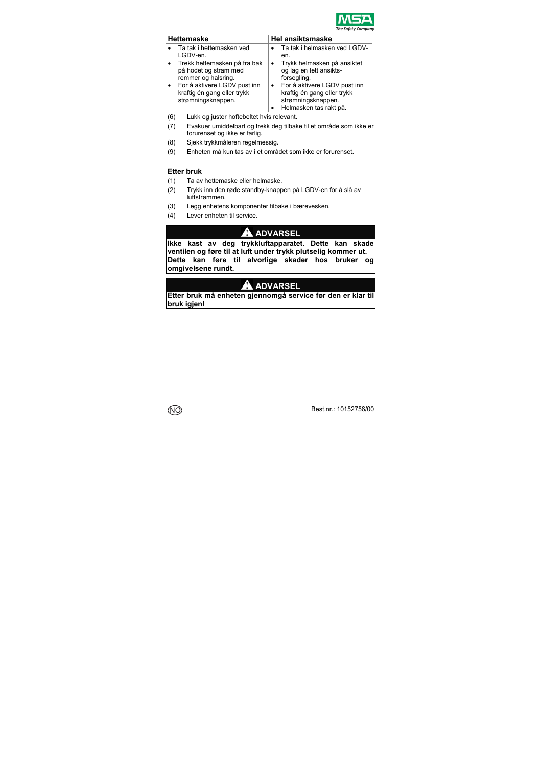

- Ta tak i hettemasken ved LGDV-en.
- Trekk hettemasken på fra bak på hodet og stram med remmer og halsring.
- For å aktivere LGDV pust inn kraftig én gang eller trykk strømningsknappen.

#### **Hel ansiktsmaske**

- Ta tak i helmasken ved LGDVen.
- Trykk helmasken på ansiktet og lag en tett ansiktsforsegling.
- For å aktivere LGDV pust inn kraftig én gang eller trykk strømningsknappen.
- Helmasken tas rakt på.
- (6) Lukk og juster hoftebeltet hvis relevant.
- (7) Evakuer umiddelbart og trekk deg tilbake til et område som ikke er forurenset og ikke er farlig.
- (8) Sjekk trykkmåleren regelmessig.
- (9) Enheten må kun tas av i et området som ikke er forurenset.

### **Etter bruk**

- (1) Ta av hettemaske eller helmaske.
- (2) Trykk inn den røde standby-knappen på LGDV-en for å slå av luftstrømmen.
- (3) Legg enhetens komponenter tilbake i bærevesken.
- (4) Lever enheten til service.

# **A** ADVARSEL

**Ikke kast av deg trykkluftapparatet. Dette kan skade ventilen og føre til at luft under trykk plutselig kommer ut. Dette kan føre til alvorlige skader hos bruker og omgivelsene rundt.** 

# **ADVARSEL**

**Etter bruk må enheten gjennomgå service før den er klar til bruk igjen!** 

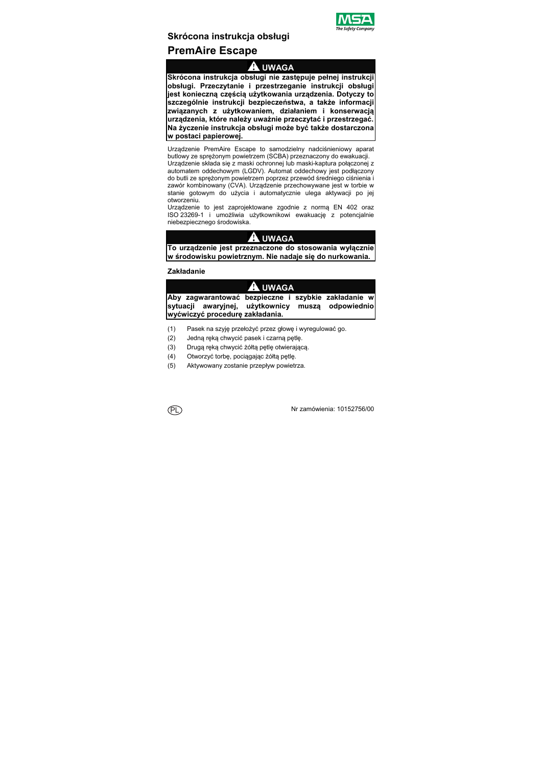

# **Skrócona instrukcja obsługi**

# **PremAire Escape**

### **UWAGA**

**Skrócona instrukcja obsługi nie zastępuje pełnej instrukcji obsługi. Przeczytanie i przestrzeganie instrukcji obsługi jest konieczną częścią użytkowania urządzenia. Dotyczy to szczególnie instrukcji bezpieczeństwa, a także informacji związanych z użytkowaniem, działaniem i konserwacją urządzenia, które należy uważnie przeczytać i przestrzegać. Na życzenie instrukcja obsługi może być także dostarczona w postaci papierowej.** 

Urządzenie PremAire Escape to samodzielny nadciśnieniowy aparat butlowy ze sprężonym powietrzem (SCBA) przeznaczony do ewakuacji.

Urządzenie składa się z maski ochronnej lub maski-kaptura połączonej z automatem oddechowym (LGDV). Automat oddechowy jest podłączony do butli ze sprężonym powietrzem poprzez przewód średniego ciśnienia i zawór kombinowany (CVA). Urządzenie przechowywane jest w torbie w stanie gotowym do użycia i automatycznie ulega aktywacji po jej otworzeniu.

Urządzenie to jest zaprojektowane zgodnie z normą EN 402 oraz ISO 23269-1 i umożliwia użytkownikowi ewakuację z potencjalnie niebezpiecznego środowiska.

# **UWAGA**

**To urządzenie jest przeznaczone do stosowania wyłącznie w środowisku powietrznym. Nie nadaje się do nurkowania.** 

### **Zakładanie**

# **UWAGA**

**Aby zagwarantować bezpieczne i szybkie zakładanie w sytuacji awaryjnej, użytkownicy muszą odpowiednio wyćwiczyć procedurę zakładania.** 

- (1) Pasek na szyję przełożyć przez głowę i wyregulować go.
- (2) Jedną ręką chwycić pasek i czarną pętlę.
- (3) Drugą ręką chwycić żółtą pętlę otwierającą.
- (4) Otworzyć torbę, pociągając żółtą pętlę.
- (5) Aktywowany zostanie przepływ powietrza.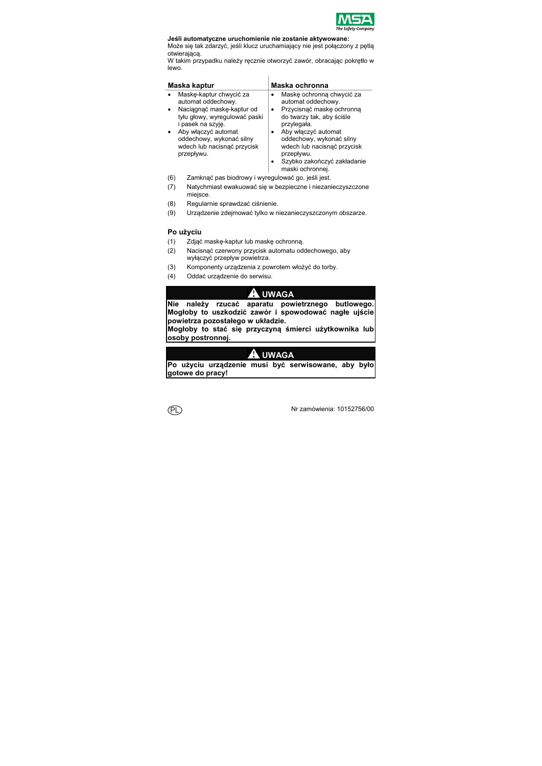

#### **Jeśli automatyczne uruchomienie nie zostanie aktywowane:**

Może się tak zdarzyć, jeśli klucz uruchamiający nie jest połączony z pętlą otwierającą.

W takim przypadku należy ręcznie otworzyć zawór, obracając pokrętło w lewo.

| Maska kaptur                              | Maska ochronna                                                                               |
|-------------------------------------------|----------------------------------------------------------------------------------------------|
| Maskę-kaptur chwycić za                   | Maske ochronna chwycić za                                                                    |
| automat oddechowy.                        | automat oddechowy.                                                                           |
| Naciagnać maske-kaptur od                 | Przycisnąć maskę ochronną                                                                    |
| tyłu głowy, wyregulować paski             | do twarzy tak, aby ściśle                                                                    |
| i pasek na szvie.                         | przylegała.                                                                                  |
| Aby właczyć automat                       | Aby włączyć automat                                                                          |
| oddechowy, wykonać silny                  | oddechowy, wykonać silny                                                                     |
| wdech lub nacisnąć przycisk<br>przepływu. | wdech lub nacisnąć przycisk<br>przepływu.<br>Szybko zakończyć zakładanie<br>maski ochronnej. |

- (6) Zamknąć pas biodrowy i wyregulować go, jeśli jest.
- (7) Natychmiast ewakuować się w bezpieczne i niezanieczyszczone miejsce.
- (8) Regularnie sprawdzać ciśnienie.
- (9) Urządzenie zdejmować tylko w niezanieczyszczonym obszarze.

### **Po użyciu**

- (1) Zdjąć maskę-kaptur lub maskę ochronną.
- (2) Nacisnąć czerwony przycisk automatu oddechowego, aby wyłączyć przepływ powietrza.
- (3) Komponenty urządzenia z powrotem włożyć do torby.
- (4) Oddać urządzenie do serwisu.

# **UWAGA**

**Nie należy rzucać aparatu powietrznego butlowego. Mogłoby to uszkodzić zawór i spowodować nagłe ujście powietrza pozostałego w układzie.** 

**Mogłoby to stać się przyczyną śmierci użytkownika lub osoby postronnej.** 

# **UWAGA**

**Po użyciu urządzenie musi być serwisowane, aby było gotowe do pracy!**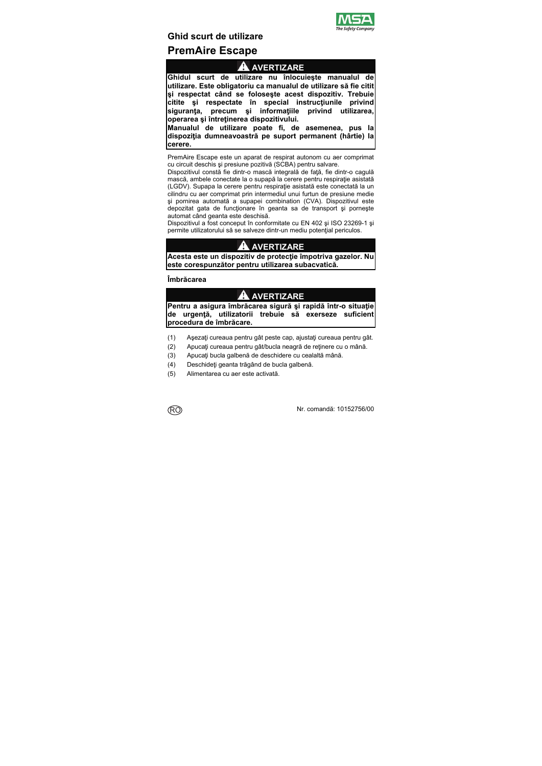

# **Ghid scurt de utilizare PremAire Escape**

# **AVERTIZARE**

**Ghidul scurt de utilizare nu înlocuieşte manualul de utilizare. Este obligatoriu ca manualul de utilizare să fie citit şi respectat când se foloseşte acest dispozitiv. Trebuie citite şi respectate în special instrucţiunile privind siguranţa, precum şi informaţiile privind utilizarea, operarea şi întreţinerea dispozitivului.** 

**Manualul de utilizare poate fi, de asemenea, pus la dispoziţia dumneavoastră pe suport permanent (hârtie) la cerere.** 

PremAire Escape este un aparat de respirat autonom cu aer comprimat cu circuit deschis şi presiune pozitivă (SCBA) pentru salvare.

Dispozitivul constă fie dintr-o mască integrală de față, fie dintr-o cagulă mască, ambele conectate la o supapă la cerere pentru respiraţie asistată (LGDV). Supapa la cerere pentru respirație asistată este conectată la un cilindru cu aer comprimat prin intermediul unui furtun de presiune medie şi pornirea automată a supapei combination (CVA). Dispozitivul este depozitat gata de funcționare în geanta sa de transport și pornește automat când geanta este deschisă.

Dispozitivul a fost conceput în conformitate cu EN 402 şi ISO 23269-1 şi permite utilizatorului să se salveze dintr-un mediu potențial periculos.

# **AVERTIZARE**

**Acesta este un dispozitiv de protecţie împotriva gazelor. Nu este corespunzător pentru utilizarea subacvatică.** 

### **Îmbrăcarea**

# **AVERTIZARE**

**Pentru a asigura îmbrăcarea sigură şi rapidă într-o situaţie de urgenţă, utilizatorii trebuie să exerseze suficient procedura de îmbrăcare.** 

- (1) Aşezaţi cureaua pentru gât peste cap, ajustaţi cureaua pentru gât.
- (2) Apucaţi cureaua pentru gât/bucla neagră de reţinere cu o mână.
- (3) Apucati bucla galbenă de deschidere cu cealaltă mână.
- (4) Deschideți geanta trăgând de bucla galbenă.
- (5) Alimentarea cu aer este activată.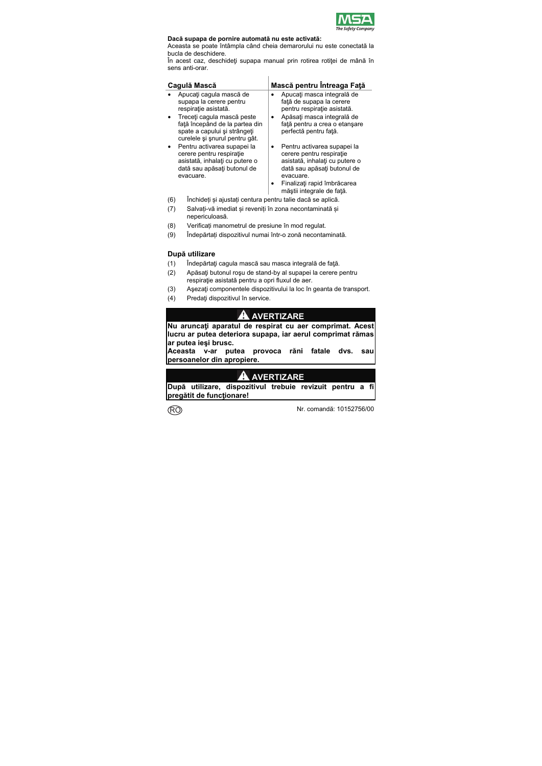

#### **Dacă supapa de pornire automată nu este activată:**

Aceasta se poate întâmpla când cheia demarorului nu este conectată la bucla de deschidere.

În acest caz, deschideți supapa manual prin rotirea rotiței de mână în sens anti-orar.

| Cagulă Mască                                                                                                                          | Mască pentru Întreaga Față                                                                                                                                                                        |
|---------------------------------------------------------------------------------------------------------------------------------------|---------------------------------------------------------------------------------------------------------------------------------------------------------------------------------------------------|
| Apucați caqula mască de                                                                                                               | Apucați masca integrală de                                                                                                                                                                        |
| supapa la cerere pentru                                                                                                               | față de supapa la cerere                                                                                                                                                                          |
| respirație asistată.                                                                                                                  | pentru respirație asistată.                                                                                                                                                                       |
| Treceți cagula mască peste                                                                                                            | Apăsați masca integrală de                                                                                                                                                                        |
| fată începând de la partea din                                                                                                        | ٠                                                                                                                                                                                                 |
| spate a capului și strângeți                                                                                                          | față pentru a crea o etansare                                                                                                                                                                     |
| curelele și snurul pentru gât.                                                                                                        | perfectă pentru față.                                                                                                                                                                             |
| Pentru activarea supapei la<br>cerere pentru respiratie<br>asistată, inhalați cu putere o<br>dată sau apăsați butonul de<br>evacuare. | Pentru activarea supapei la<br>cerere pentru respiratie<br>asistată, inhalați cu putere o<br>dată sau apăsați butonul de<br>evacuare.<br>Finalizați rapid îmbrăcarea<br>măștii integrale de față. |

- (6) Închideți și ajustați centura pentru talie dacă se aplică.
- (7) Salvați-vă imediat și reveniți în zona necontaminată și nepericuloasă.
- (8) Verificați manometrul de presiune în mod regulat.
- (9) Îndepărtați dispozitivul numai într-o zonă necontaminată.

### **După utilizare**

- (1) Îndepărtaţi cagula mască sau masca integrală de faţă.
- (2) Apăsați butonul roșu de stand-by al supapei la cerere pentru respiratie asistată pentru a opri fluxul de aer.
- (3) Asezati componentele dispozitivului la loc în geanta de transport.
- (4) Predaţi dispozitivul în service.

# **AVERTIZARE**

**Nu aruncaţi aparatul de respirat cu aer comprimat. Acest lucru ar putea deteriora supapa, iar aerul comprimat rămas ar putea ieşi brusc.** 

**Aceasta v-ar putea provoca răni fatale dvs. sau persoanelor din apropiere.** 

# **AVERTIZARE**

**După utilizare, dispozitivul trebuie revizuit pentru a fi pregătit de funcţionare!**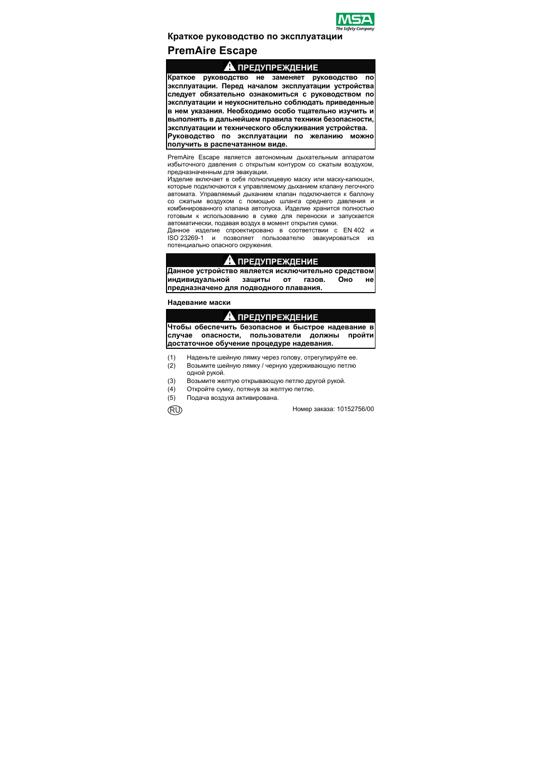

# **Краткое руководство по эксплуатации PremAire Escape**

### **ПРЕДУПРЕЖДЕНИЕ**

**Краткое руководство не заменяет руководство по эксплуатации. Перед началом эксплуатации устройства следует обязательно ознакомиться с руководством по эксплуатации и неукоснительно соблюдать приведенные в нем указания. Необходимо особо тщательно изучить и выполнять в дальнейшем правила техники безопасности, эксплуатации и технического обслуживания устройства. Руководство по эксплуатации по желанию можно получить в распечатанном виде.** 

PremAire Escape является автономным дыхательным аппаратом избыточного давления с открытым контуром со сжатым воздухом, предназначенным для эвакуации.

Изделие включает в себя полнолицевую маску или маску-капюшон, которые подключаются к управляемому дыханием клапану легочного автомата. Управляемый дыханием клапан подключается к баллону со сжатым воздухом с помощью шланга среднего давления и комбинированного клапана автопуска. Изделие хранится полностью готовым к использованию в сумке для переноски и запускается автоматически, подавая воздух в момент открытия сумки.

Данное изделие спроектировано в соответствии с EN 402 и<br>ISO 23269-1 и позволяет пользователю эвакуироваться из и позволяет пользователю эвакуироваться из потенциально опасного окружения.

# **ПРЕДУПРЕЖДЕНИЕ**

**Данное устройство является исключительно средством индивидуальной защиты от газов. Оно не предназначено для подводного плавания.** 

### **Надевание маски**

### **ПРЕДУПРЕЖДЕНИЕ**

**Чтобы обеспечить безопасное и быстрое надевание в случае опасности, пользователи должны пройти достаточное обучение процедуре надевания.** 

- (1) Наденьте шейную лямку через голову, отрегулируйте ее.
- (2) Возьмите шейную лямку / черную удерживающую петлю одной рукой.
- (3) Возьмите желтую открывающую петлю другой рукой.
- (4) Откройте сумку, потянув за желтую петлю.
- (5) Подача воздуха активирована.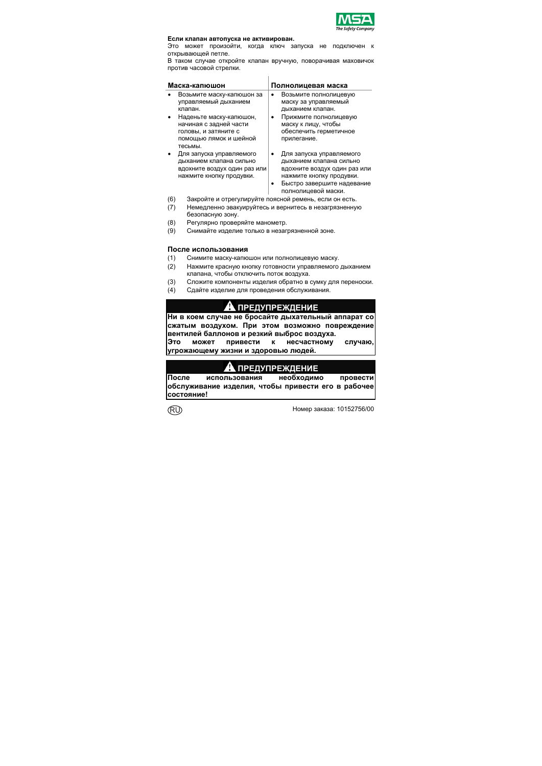

#### **Если клапан автопуска не активирован.**

Это может произойти, когда ключ запуска не подключен открывающей петле.

В таком случае откройте клапан вручную, поворачивая маховичок против часовой стрелки.

|        | Маска-капюшон                                                                                                   |   | Полнолицевая маска                                                                                                                                                   |
|--------|-----------------------------------------------------------------------------------------------------------------|---|----------------------------------------------------------------------------------------------------------------------------------------------------------------------|
|        | Возьмите маску-капюшон за<br>управляемый дыханием                                                               | ٠ | Возьмите полнолицевую<br>маску за управляемый                                                                                                                        |
|        | клапан.                                                                                                         |   | дыханием клапан.                                                                                                                                                     |
|        | Наденьте маску-капюшон,<br>начиная с задней части<br>головы, и затяните с<br>помощью лямок и шейной<br>тесьмы.  |   | Прижмите полнолицевую<br>маску к лицу, чтобы<br>обеспечить герметичное<br>прилегание.                                                                                |
|        | Для запуска управляемого<br>дыханием клапана сильно<br>вдохните воздух один раз или<br>нажмите кнопку продувки. | ٠ | Для запуска управляемого<br>дыханием клапана сильно<br>вдохните воздух один раз или<br>нажмите кнопку продувки.<br>Быстро завершите надевание<br>полнолицевой маски. |
| $\sim$ |                                                                                                                 |   |                                                                                                                                                                      |

- (6) Закройте и отрегулируйте поясной ремень, если он есть.
- (7) Немедленно эвакуируйтесь и вернитесь в незагрязненную безопасную зону.
- (8) Регулярно проверяйте манометр.
- (9) Снимайте изделие только в незагрязненной зоне.

#### **После использования**

- (1) Снимите маску-капюшон или полнолицевую маску.
- (2) Нажмите красную кнопку готовности управляемого дыханием клапана, чтобы отключить поток воздуха.
- (3) Сложите компоненты изделия обратно в сумку для переноски.
- (4) Сдайте изделие для проведения обслуживания.

### **ПРЕДУПРЕЖДЕНИЕ**

**Ни в коем случае не бросайте дыхательный аппарат со сжатым воздухом. При этом возможно повреждение вентилей баллонов и резкий выброс воздуха.** 

**Это может привести к несчастному случаю, угрожающему жизни и здоровью людей.** 

### **ПРЕДУПРЕЖДЕНИЕ**

**После использования необходимо провести обслуживание изделия, чтобы привести его в рабочее состояние!**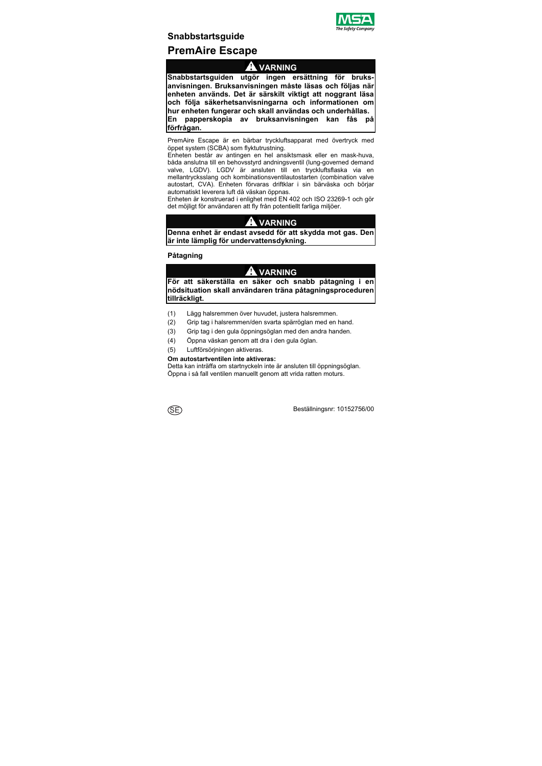

# **Snabbstartsguide PremAire Escape**

# **VARNING**

**Snabbstartsguiden utgör ingen ersättning för bruksanvisningen. Bruksanvisningen måste läsas och följas när enheten används. Det är särskilt viktigt att noggrant läsa och följa säkerhetsanvisningarna och informationen om hur enheten fungerar och skall användas och underhållas. En papperskopia av bruksanvisningen kan fås på förfrågan.** 

PremAire Escape är en bärbar tryckluftsapparat med övertryck med öppet system (SCBA) som flyktutrustning.

Enheten består av antingen en hel ansiktsmask eller en mask-huva, båda anslutna till en behovsstyrd andningsventil (lung-governed demand valve, LGDV). LGDV är ansluten till en tryckluftsflaska via en mellantrycksslang och kombinationsventilautostarten (combination valve autostart, CVA). Enheten förvaras driftklar i sin bärväska och börjar automatiskt leverera luft då väskan öppnas.

Enheten är konstruerad i enlighet med EN 402 och ISO 23269-1 och gör det möjligt för användaren att fly från potentiellt farliga miljöer.

# **VARNING**

**Denna enhet är endast avsedd för att skydda mot gas. Den är inte lämplig för undervattensdykning.** 

**Påtagning** 

# **VARNING**

**För att säkerställa en säker och snabb påtagning i en nödsituation skall användaren träna påtagningsproceduren tillräckligt.** 

- (1) Lägg halsremmen över huvudet, justera halsremmen.
- (2) Grip tag i halsremmen/den svarta spärröglan med en hand.
- (3) Grip tag i den gula öppningsöglan med den andra handen.
- (4) Öppna väskan genom att dra i den gula öglan.
- (5) Luftförsörjningen aktiveras.

#### **Om autostartventilen inte aktiveras:**

Detta kan inträffa om startnyckeln inte är ansluten till öppningsöglan. Öppna i så fall ventilen manuellt genom att vrida ratten moturs.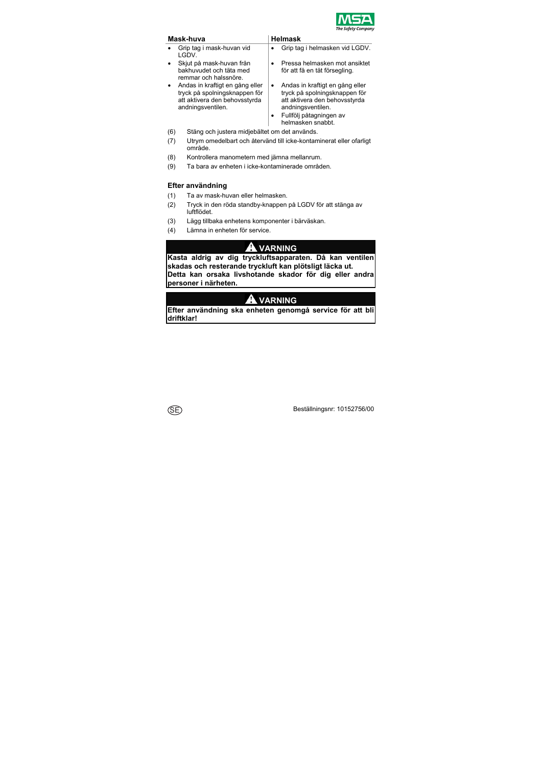

| Mask-huva                                                                                                              |   | <b>Helmask</b>                                                                                                                                                         |
|------------------------------------------------------------------------------------------------------------------------|---|------------------------------------------------------------------------------------------------------------------------------------------------------------------------|
| Grip tag i mask-huvan vid<br>LGDV.                                                                                     |   | Grip tag i helmasken vid LGDV.                                                                                                                                         |
| Skjut på mask-huvan från<br>bakhuvudet och täta med<br>remmar och halssnöre.                                           |   | Pressa helmasken mot ansiktet<br>för att få en tät försegling.                                                                                                         |
| Andas in kraftigt en gång eller<br>tryck på spolningsknappen för<br>att aktivera den behovsstyrda<br>andningsventilen. | ٠ | Andas in kraftigt en gång eller<br>tryck på spolningsknappen för<br>att aktivera den behovsstyrda<br>andningsventilen.<br>Fullfölj påtagningen av<br>helmasken snabbt. |

- (6) Stäng och justera midjebältet om det används.
- (7) Utrym omedelbart och återvänd till icke-kontaminerat eller ofarligt område.
- (8) Kontrollera manometern med jämna mellanrum.
- (9) Ta bara av enheten i icke-kontaminerade områden.

### **Efter användning**

- (1) Ta av mask-huvan eller helmasken.
- (2) Tryck in den röda standby-knappen på LGDV för att stänga av luftflödet.
- (3) Lägg tillbaka enhetens komponenter i bärväskan.
- (4) Lämna in enheten för service.

# **VARNING**

**Kasta aldrig av dig tryckluftsapparaten. Då kan ventilen skadas och resterande tryckluft kan plötsligt läcka ut. Detta kan orsaka livshotande skador för dig eller andra personer i närheten.** 

# **VARNING**

**Efter användning ska enheten genomgå service för att bli driftklar!**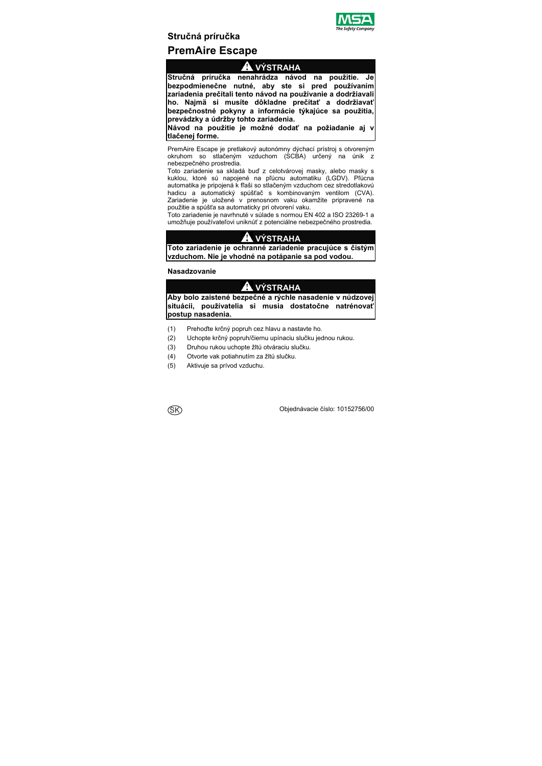

# **Stručná príručka PremAire Escape**

# **VÝSTRAHA**

**Stručná príručka nenahrádza návod na použitie. Je bezpodmienečne nutné, aby ste si pred používaním zariadenia prečítali tento návod na používanie a dodržiavali ho. Najmä si musíte dôkladne prečítať a dodržiavať bezpečnostné pokyny a informácie týkajúce sa použitia, prevádzky a údržby tohto zariadenia.** 

**Návod na použitie je možné dodať na požiadanie aj v tlačenej forme.** 

PremAire Escape je pretlakový autonómny dýchací prístroj s otvoreným okruhom so stlačeným vzduchom (SCBA) určený na únik z nebezpečného prostredia.

Toto zariadenie sa skladá buď z celotvárovej masky, alebo masky s kuklou, ktoré sú napojené na pľúcnu automatiku (LGDV). Pľúcna automatika je pripojená k fľaši so stlačeným vzduchom cez stredotlakovú hadicu a automatický spúšťač s kombinovaným ventilom (CVA). Zariadenie je uložené v prenosnom vaku okamžite pripravené na použitie a spúšťa sa automaticky pri otvorení vaku.

Toto zariadenie je navrhnuté v súlade s normou EN 402 a ISO 23269-1 a umožňuje používateľovi uniknúť z potenciálne nebezpečného prostredia.

# **VÝSTRAHA**

**Toto zariadenie je ochranné zariadenie pracujúce s čistým vzduchom. Nie je vhodné na potápanie sa pod vodou.** 

**Nasadzovanie** 

# **VÝSTRAHA**

**Aby bolo zaistené bezpečné a rýchle nasadenie v núdzovej situácii, používatelia si musia dostatočne natrénovať postup nasadenia.** 

- (1) Prehoďte krčný popruh cez hlavu a nastavte ho.
- (2) Uchopte krčný popruh/čiernu upínaciu slučku jednou rukou.
- (3) Druhou rukou uchopte žltú otváraciu slučku.
- (4) Otvorte vak potiahnutím za žltú slučku.
- (5) Aktivuje sa prívod vzduchu.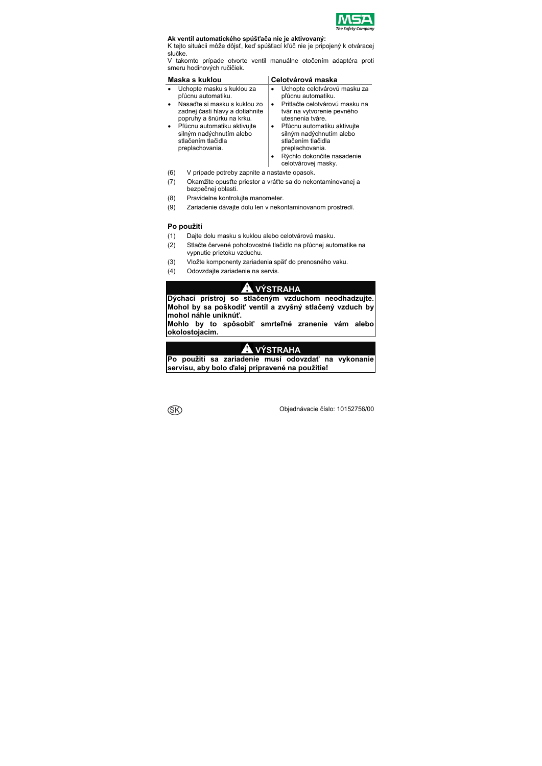

### **Ak ventil automatického spúšťača nie je aktivovaný:**

K tejto situácii môže dôjsť, keď spúšťací kľúč nie je pripojený k otváracej slučke.

V takomto prípade otvorte ventil manuálne otočením adaptéra proti smeru hodinových ručičiek.

| Maska s kuklou                                                                                                                                                                                                                                      | Celotvárová maska                                                                                                                                                                                                                                                                                                      |
|-----------------------------------------------------------------------------------------------------------------------------------------------------------------------------------------------------------------------------------------------------|------------------------------------------------------------------------------------------------------------------------------------------------------------------------------------------------------------------------------------------------------------------------------------------------------------------------|
| Uchopte masku s kuklou za<br>pľúcnu automatiku.<br>Nasaďte si masku s kuklou zo<br>zadnej časti hlavy a dotiahnite<br>popruhy a šnúrku na krku.<br>Pľúcnu automatiku aktivujte<br>silným nadýchnutím alebo<br>stlačením tlačidla<br>preplachovania. | Uchopte celotvárovú masku za<br>pľúcnu automatiku.<br>Pritlačte celotvárovú masku na<br>$\bullet$<br>tvár na vytvorenie pevného<br>utesnenia tváre.<br>Pľúcnu automatiku aktivujte<br>٠<br>silným nadýchnutím alebo<br>stlačením tlačidla<br>preplachovania.<br>Rýchlo dokončite nasadenie<br>٠<br>celotvárovej masky. |

- (6) V prípade potreby zapnite a nastavte opasok.
- (7) Okamžite opusťte priestor a vráťte sa do nekontaminovanej a bezpečnej oblasti.
- (8) Pravidelne kontrolujte manometer.
- (9) Zariadenie dávajte dolu len v nekontaminovanom prostredí.

### **Po použití**

- (1) Dajte dolu masku s kuklou alebo celotvárovú masku.
- (2) Stlačte červené pohotovostné tlačidlo na pľúcnej automatike na vypnutie prietoku vzduchu.
- (3) Vložte komponenty zariadenia späť do prenosného vaku.
- (4) Odovzdajte zariadenie na servis.

### **A** VÝSTRAHA

**Dýchací prístroj so stlačeným vzduchom neodhadzujte. Mohol by sa poškodiť ventil a zvyšný stlačený vzduch by mohol náhle uniknúť.** 

**Mohlo by to spôsobiť smrteľné zranenie vám alebo okolostojacim.** 

# **STRAHA**

**Po použití sa zariadenie musí odovzdať na vykonanie servisu, aby bolo ďalej pripravené na použitie!**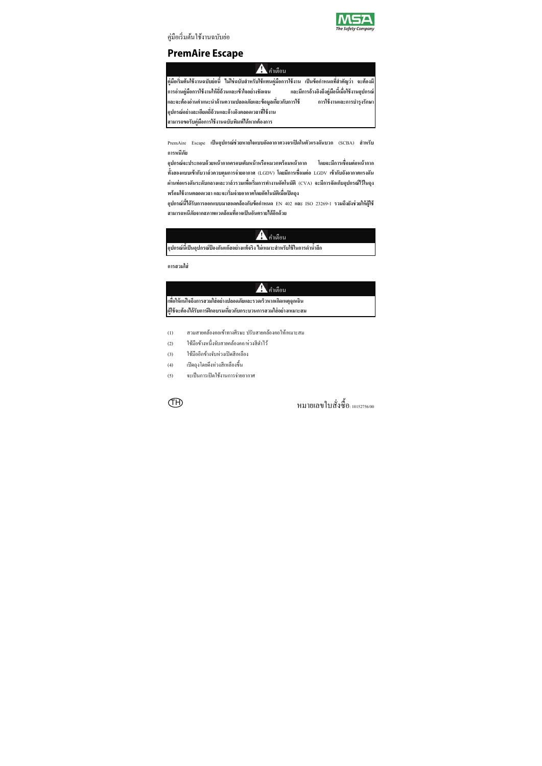

้ คู่มือเริ่มต้นใช้งานฉบับย่อ

# **PremAire Escape**

### $\mathbf{A}$  กำเตือน

**คู่มือเริ่มต้นใช้งานฉบับย่อนี้ ไม่ใช่ฉบับสําหรับใช้แทนคู่มือการใช้งาน เป็นข้อกาหนดท ํ สี่ ําคัญว่า จะต้องมี การอ่านคู่มือการใช้งานให้ถี่ถ้วนและเข้าใจอย่างชัดเจน และมีการอ้างองถิ ึงคู่มือนีเม้ ื่อใช้งานอุปกรณ์ และจะต้องอ่านคําแนะนําด้านความปลอดภัยและข้อมูลเกี่ยวกบการใช ั ้ การใช้งานและการบํารุงรักษา อุปกรณ์อย่างละเอยดถ ี ี่ถ้วนและอ้างองตลอดเวลาท ิ ใชี่ ้งาน สามารถขอรับคู่มือการใช้งานฉบับพมพิ ์ได้หากต้องการ**

PremAire Escape **เป็นอุปกรณ์ช่วยหายใจแบบอดอากาศวงจรเป ั ิดในตัวแรงดันบวก** (SCBA) **สําหรับ การหนีภัย**

**อุปกรณ์จะประกอบด้วยหน้ากากครอบเต็มหน้าหรือหมวกพร้อมหน้ากาก โดยจะมีการเชื่อมต่อหน้ากาก ท้งสองแบบเข ั ้ากบวาล ั ์วควบคุมการจ่ายอากาศ** (LGDV) **โดยมีการเชื่อมต่อ** LGDV **เข้ากบถั ังอากาศแรงดัน ผ่านท่อแรงดันระดับกลางและวาล์วรวมเพอเร ื่ ิ่มการทางานอ ํ ตโนม ั ัติ**(CVA) **จะมีการจัดเกบอ็ ุปกรณ์ไว้ในถุง พร้อมใช้งานตลอดเวลาและจะเริ่มจ่ายอากาศโดยอตโนม ั ัติเมื่อเปิดถุง**

**อุปกรณ์นีได้ ้รับการออกแบบมาสอดคล้องกบขั ้อกาหนด ํ** EN 402 **และ** ISO 23269-1 **รวมถึงยังช่วยให้ผู้ใช้ สามารถหนีภัยจากสภาพแวดล้อมทอาจเป ี่ ็นอนตรายได ั ้อกดี ้วย**

### . คำเตือน

**อุปกรณ์นีเป้ ็นอุปกรณ์ป้องกันแก๊สอย่างแท้จริง ไม่เหมาะสําหรับใช้ในการดํานําล้ กึ**

**การสวมใส่**

# $A$ คำเตือน

**เพอให ื่ ้แน่ใจถึงการสวมใส่อย่างปลอดภัยและรวดเร็วหากเกดเหต ิ ุฉุกเฉิน ผู้ใช้จะต้องได้รับการฝึกอบรมเกยวก ี่ บกระบวนการสวมใส ั ่อย่างเหมาะสม**

- (1) สวมสายคล้องคอเข้าทางศีรษะ ปรับสายคล้องคอให้เหมาะสม
- (2) ใช้มื้อข้างหนึ่งจับสายคล้องคอ/ห่วงสีดำไว้
- (3) ใช้มืออีกข้างจับห่วงเปิดสีเหลือง
- (4) เปิดถุงโดยดึงห่วงสีเหลืองข้ึน
- (5) จะเป็นการเปิดใช้งานการจ่ายอากาศ

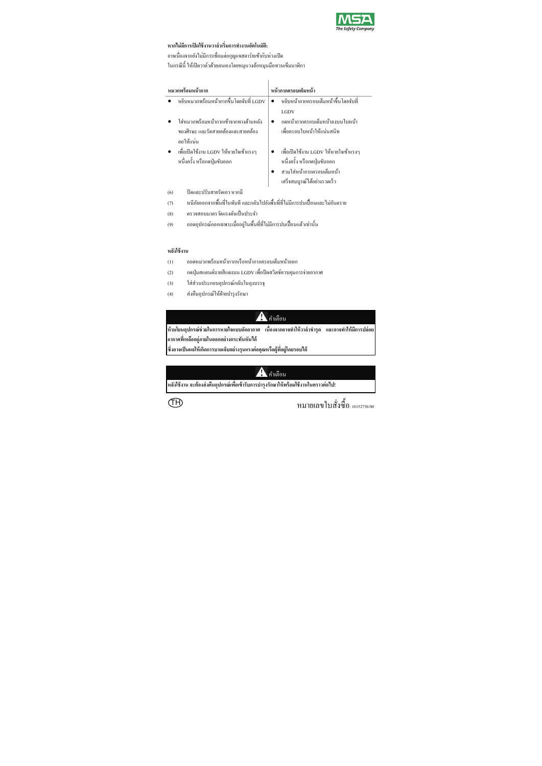

### **หากไม่มีการเปิดใช้งานวาล์วเริ่มการทางานอ ํ ตโนม ั ัติ:**

อาจเนื่องจากยังไม่มีการเชื่อมต่อกุญแจสตาร์ทเข้ากับห่วงเปิด ่ ในกรณีนี้ ให้เปิดวาล์วด้วยตนเองโดยหมุนวงล้อหมุนมือทวนเข็มนาฬิกา

| หมวกพร้อมหน้ากาก                       | หน้ากากครอบเต็มหน้า                   |
|----------------------------------------|---------------------------------------|
| หขิบหมวกพร้อมหน้ากากขึ้นโดยจับที่ LGDV | หยิบหน้ากากครอบเต็มหน้าขึ้นโดยจับที่  |
|                                        | LGDV                                  |
| ใส่หมวกพร้อมหน้ากากเข้าจากทางด้านหลัง  | กดหน้ากากครอบเต็มหน้าลงบนใบหน้า       |
| ของศีรษะ และรัดสาขคล้องและสาขคล้อง     | เพื่อครอบใบหน้าให้แน่นสนิท            |
| คอให้แน่น                              |                                       |
| เพื่อเปิดใช้งาน LGDV ให้หายใจเข้าแรงๆ  | เพื่อเปิดใช้งาน LGDV ให้หายใจเข้าแรงๆ |
| หนึ่งครั้ง หรือกคปุ่มขับออก            | หนึ่งครั้ง หรือกคปุ่มขับออก           |
|                                        | สวมใส่หน้ากากครอบเต็มหน้า             |
|                                        | เสร็จสมบูรณ์ได้อย่างรวดเร็ว           |
| ปิดและปรับสายรัดเอว หากมี<br>(6)       |                                       |
| an 2 de est est en 2 daou 2 d          |                                       |

- (7) หนีภัยออกจากพื้นที่ในทันที และกลับไปยังพื้นที่ที่ไม่มีการปนเปื้อนและไม่อันตราย
- (8) ตรวจสอบมาตรวัดแรงดันเป็นประจำ
- (9) ถอดอุปกรณ์ออกเฉพาะเมื่ออยู่ในพื้นที่ที่ไม่มีการปนเปื้อนแล้วเท่านั้น

**หลงใช ั ้งาน**

- (1) ถอดหมวกพร้อมหน้ากากหรือหน้ากากครอบเต็มหน้าออก
- (2) กดปุ่มสแตนด์บายสีแดงบน LGDV เพื่อปิดสวิตช์ควบคุมการจ่ายอากาศ
- (3) ใส่ส่วนประกอบอุปกรณ์กลับในถุงบรรจุ
- (4) ส่งคืนอุปกรณ์ให้ฝ่ายบำรุงรักษา

 $\blacktriangle$ คำเตือน

**ห้ามโยนอุปกรณ์ช่วยในการหายใจแบบอดอากาศ ั เนื่องจากอาจทาใหํ ้วาล์วชํารุด และอาจทาใหํ ้มีการปล่อย อากาศทเหล ี่ ออย ื ู่ภายในออกอย่างกระทันหันได้ ซึ่งอาจเป็นผลให้เกดการบาดเจ ิ ็บอย่างรุนแรงต่อคุณหรือผู้ทอยี่ ู่โดยรอบได้**

่

**หลงใช ั ้งาน จะต้องส่งคืนอุปกรณ์เพอเข ื่ ้ารับการบํารุงรักษาให้พร้อมใช้งานในคราวต่อไป!**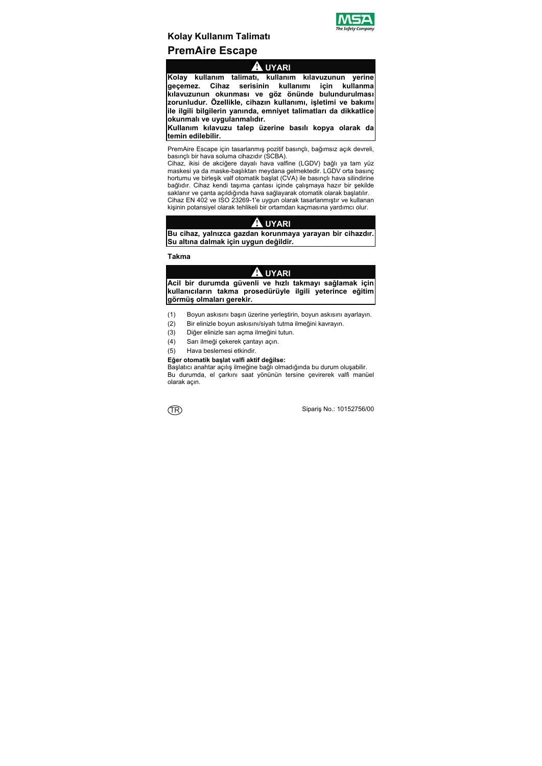

# **Kolay Kullanım Talimatı PremAire Escape**

# **UYARI**

**Kolay kullanım talimatı, kullanım kılavuzunun yerine geçemez. Cihaz serisinin kullanımı için kullanma kılavuzunun okunması ve göz önünde bulundurulması zorunludur. Özellikle, cihazın kullanımı, işletimi ve bakımı ile ilgili bilgilerin yanında, emniyet talimatları da dikkatlice okunmalı ve uygulanmalıdır.** 

**Kullanım kılavuzu talep üzerine basılı kopya olarak da temin edilebilir.** 

PremAire Escape için tasarlanmış pozitif basınçlı, bağımsız açık devreli, basınçlı bir hava soluma cihazıdır (SCBA).

Cihaz, ikisi de akciğere dayalı hava valfine (LGDV) bağlı ya tam yüz maskesi ya da maske-başlıktan meydana gelmektedir. LGDV orta basınç hortumu ve birleşik valf otomatik başlat (CVA) ile basınçlı hava silindirine bağlıdır. Cihaz kendi taşıma çantası içinde çalışmaya hazır bir şekilde saklanır ve çanta açıldığında hava sağlayarak otomatik olarak başlatılır. Cihaz EN 402 ve ISO 23269-1'e uygun olarak tasarlanmıştır ve kullanan

kişinin potansiyel olarak tehlikeli bir ortamdan kaçmasına yardımcı olur.

# **UYARI**

**Bu cihaz, yalnızca gazdan korunmaya yarayan bir cihazdır. Su altına dalmak için uygun değildir.** 

**Takma** 

# **UYARI**

**Acil bir durumda güvenli ve hızlı takmayı sağlamak için kullanıcıların takma prosedürüyle ilgili yeterince eğitim görmüş olmaları gerekir.** 

- (1) Boyun askısını başın üzerine yerleştirin, boyun askısını ayarlayın.
- (2) Bir elinizle boyun askısını/siyah tutma ilmeğini kavrayın.
- (3) Diğer elinizle sarı açma ilmeğini tutun.
- (4) Sarı ilmeği çekerek çantayı açın.
- (5) Hava beslemesi etkindir.

#### **Eğer otomatik başlat valfi aktif değilse:**

Başlatıcı anahtar açılış ilmeğine bağlı olmadığında bu durum oluşabilir. Bu durumda, el çarkını saat yönünün tersine çevirerek valfi manüel olarak açın.